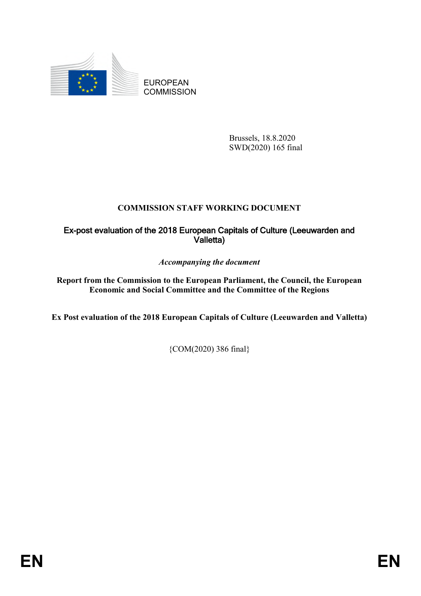

EUROPEAN **COMMISSION** 

> Brussels, 18.8.2020 SWD(2020) 165 final

# **COMMISSION STAFF WORKING DOCUMENT**

# Ex-post evaluation of the 2018 European Capitals of Culture (Leeuwarden and Valletta)

*Accompanying the document*

**Report from the Commission to the European Parliament, the Council, the European Economic and Social Committee and the Committee of the Regions** 

**Ex Post evaluation of the 2018 European Capitals of Culture (Leeuwarden and Valletta)** 

{COM(2020) 386 final}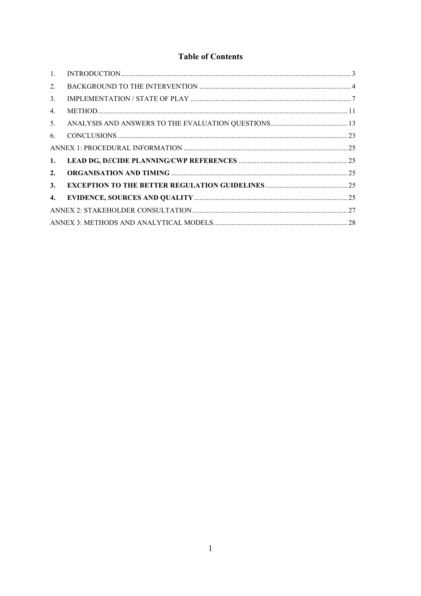# **Table of Contents**

| $\mathbf{1}$ . |  |
|----------------|--|
| 2.             |  |
| 3.             |  |
| 4.             |  |
| 5.             |  |
| 6.             |  |
|                |  |
| 1.             |  |
| 2.             |  |
| 3.             |  |
| 4.             |  |
|                |  |
|                |  |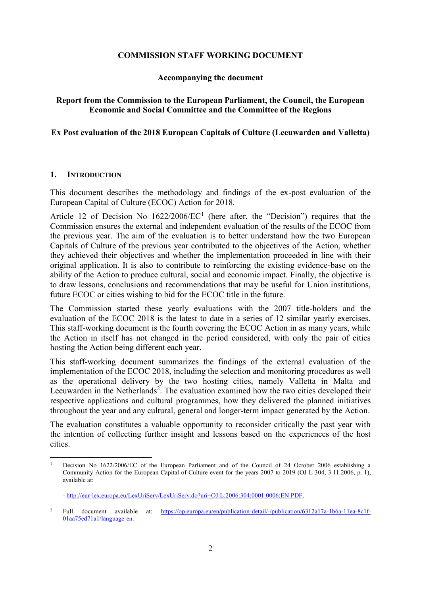### **COMMISSION STAFF WORKING DOCUMENT**

### **Accompanying the document**

### **Report from the Commission to the European Parliament, the Council, the European Economic and Social Committee and the Committee of the Regions**

### **Ex Post evaluation of the 2018 European Capitals of Culture (Leeuwarden and Valletta)**

### **1. INTRODUCTION**

This document describes the methodology and findings of the ex-post evaluation of the European Capital of Culture (ECOC) Action for 2018.

Article 12 of Decision No  $1622/2006/EC<sup>1</sup>$  (here after, the "Decision") requires that the Commission ensures the external and independent evaluation of the results of the ECOC from the previous year. The aim of the evaluation is to better understand how the two European Capitals of Culture of the previous year contributed to the objectives of the Action, whether they achieved their objectives and whether the implementation proceeded in line with their original application. It is also to contribute to reinforcing the existing evidence-base on the ability of the Action to produce cultural, social and economic impact. Finally, the objective is to draw lessons, conclusions and recommendations that may be useful for Union institutions, future ECOC or cities wishing to bid for the ECOC title in the future.

The Commission started these yearly evaluations with the 2007 title-holders and the evaluation of the ECOC 2018 is the latest to date in a series of 12 similar yearly exercises. This staff-working document is the fourth covering the ECOC Action in as many years, while the Action in itself has not changed in the period considered, with only the pair of cities hosting the Action being different each year.

This staff-working document summarizes the findings of the external evaluation of the implementation of the ECOC 2018, including the selection and monitoring procedures as well as the operational delivery by the two hosting cities, namely Valletta in Malta and Leeuwarden in the Netherlands<sup>2</sup>. The evaluation examined how the two cities developed their respective applications and cultural programmes, how they delivered the planned initiatives throughout the year and any cultural, general and longer-term impact generated by the Action.

The evaluation constitutes a valuable opportunity to reconsider critically the past year with the intention of collecting further insight and lessons based on the experiences of the host cities.

 $\overline{a}$ <sup>1</sup> Decision No 1622/2006/EC of the European Parliament and of the Council of 24 October 2006 establishing a Community Action for the European Capital of Culture event for the years 2007 to 2019 (OJ L 304, 3.11.2006, p. 1), available at:

<sup>-</sup> [http://eur-lex.europa.eu/LexUriServ/LexUriServ.do?uri=OJ:L:2006:304:0001:0006:EN:PDF.](http://eur-lex.europa.eu/LexUriServ/LexUriServ.do?uri=OJ:L:2006:304:0001:0006:EN:PDF)

<sup>&</sup>lt;sup>2</sup> Full document available at: [https://op.europa.eu/en/publication-detail/-/publication/6312a17a-1b6a-11ea-8c1f-](https://op.europa.eu/en/publication-detail/-/publication/6312a17a-1b6a-11ea-8c1f-01aa75ed71a1/language-en)[01aa75ed71a1/language-en.](https://op.europa.eu/en/publication-detail/-/publication/6312a17a-1b6a-11ea-8c1f-01aa75ed71a1/language-en)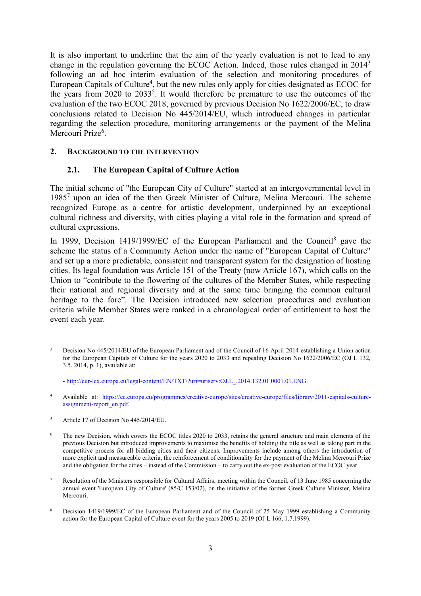It is also important to underline that the aim of the yearly evaluation is not to lead to any change in the regulation governing the ECOC Action. Indeed, those rules changed in 2014<sup>3</sup> following an ad hoc interim evaluation of the selection and monitoring procedures of European Capitals of Culture<sup>4</sup>, but the new rules only apply for cities designated as ECOC for the years from  $2020$  to  $2033<sup>5</sup>$ . It would therefore be premature to use the outcomes of the evaluation of the two ECOC 2018, governed by previous Decision No 1622/2006/EC, to draw conclusions related to Decision No 445/2014/EU, which introduced changes in particular regarding the selection procedure, monitoring arrangements or the payment of the Melina Mercouri Prize<sup>6</sup>.

### **2. BACKGROUND TO THE INTERVENTION**

### **2.1. The European Capital of Culture Action**

The initial scheme of "the European City of Culture" started at an intergovernmental level in 1985<sup>7</sup> upon an idea of the then Greek Minister of Culture, Melina Mercouri. The scheme recognized Europe as a centre for artistic development, underpinned by an exceptional cultural richness and diversity, with cities playing a vital role in the formation and spread of cultural expressions.

In 1999, Decision 1419/1999/EC of the European Parliament and the Council<sup>8</sup> gave the scheme the status of a Community Action under the name of "European Capital of Culture" and set up a more predictable, consistent and transparent system for the designation of hosting cities. Its legal foundation was Article 151 of the Treaty (now Article 167), which calls on the Union to "contribute to the flowering of the cultures of the Member States, while respecting their national and regional diversity and at the same time bringing the common cultural heritage to the fore". The Decision introduced new selection procedures and evaluation criteria while Member States were ranked in a chronological order of entitlement to host the event each year.

 $\overline{\phantom{a}}$ <sup>3</sup> Decision No 445/2014/EU of the European Parliament and of the Council of 16 April 2014 establishing a Union action for the European Capitals of Culture for the years 2020 to 2033 and repealing Decision No 1622/2006/EC (OJ L 132, 3.5. 2014, p. 1), available at:

<sup>-</sup> [http://eur-lex.europa.eu/legal-content/EN/TXT/?uri=uriserv:OJ.L\\_.2014.132.01.0001.01.ENG.](http://eur-lex.europa.eu/legal-content/EN/TXT/?uri=uriserv:OJ.L_.2014.132.01.0001.01.ENG)

<sup>4</sup> Available at: https://ec.europa.eu/programmes/creative-europe/sites/creative-europe/files/library/2011-capitals-cultureassignment-report\_en.pdf.

<sup>&</sup>lt;sup>5</sup> Article 17 of Decision No 445/2014/EU.

<sup>&</sup>lt;sup>6</sup> The new Decision, which covers the ECOC titles 2020 to 2033, retains the general structure and main elements of the previous Decision but introduced improvements to maximise the benefits of holding the title as well as taking part in the competitive process for all bidding cities and their citizens. Improvements include among others the introduction of more explicit and measureable criteria, the reinforcement of conditionality for the payment of the Melina Mercouri Prize and the obligation for the cities – instead of the Commission – to carry out the ex-post evaluation of the ECOC year.

<sup>7</sup> Resolution of the Ministers responsible for Cultural Affairs, meeting within the Council, of 13 June 1985 concerning the annual event 'European City of Culture' (85/C 153/02), on the initiative of the former Greek Culture Minister, Melina Mercouri.

<sup>&</sup>lt;sup>8</sup> Decision 1419/1999/EC of the European Parliament and of the Council of 25 May 1999 establishing a Community action for the European Capital of Culture event for the years 2005 to 2019 (OJ L 166, 1.7.1999).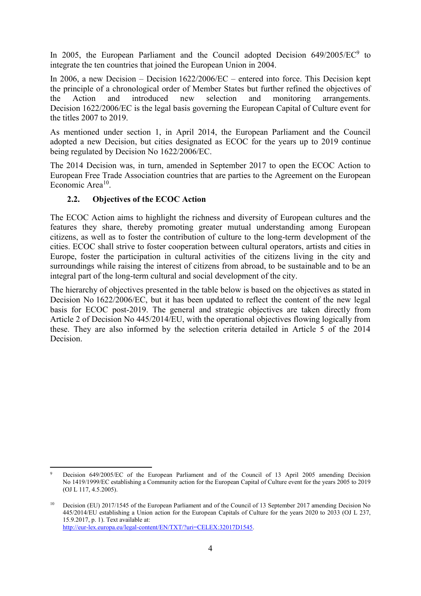In 2005, the European Parliament and the Council adopted Decision  $649/2005/EC^9$  to integrate the ten countries that joined the European Union in 2004.

In 2006, a new Decision – Decision 1622/2006/EC – entered into force. This Decision kept the principle of a chronological order of Member States but further refined the objectives of the Action and introduced new selection and monitoring arrangements. Decision 1622/2006/EC is the legal basis governing the European Capital of Culture event for the titles 2007 to 2019.

As mentioned under section 1, in April 2014, the European Parliament and the Council adopted a new Decision, but cities designated as ECOC for the years up to 2019 continue being regulated by Decision No 1622/2006/EC.

The 2014 Decision was, in turn, amended in September 2017 to open the ECOC Action to European Free Trade Association countries that are parties to the Agreement on the European Economic Area<sup>10</sup>.

### **2.2. Objectives of the ECOC Action**

The ECOC Action aims to highlight the richness and diversity of European cultures and the features they share, thereby promoting greater mutual understanding among European citizens, as well as to foster the contribution of culture to the long-term development of the cities. ECOC shall strive to foster cooperation between cultural operators, artists and cities in Europe, foster the participation in cultural activities of the citizens living in the city and surroundings while raising the interest of citizens from abroad, to be sustainable and to be an integral part of the long-term cultural and social development of the city.

The hierarchy of objectives presented in the table below is based on the objectives as stated in Decision No 1622/2006/EC, but it has been updated to reflect the content of the new legal basis for ECOC post-2019. The general and strategic objectives are taken directly from Article 2 of Decision No 445/2014/EU, with the operational objectives flowing logically from these. They are also informed by the selection criteria detailed in Article 5 of the 2014 Decision.

 $\overline{\phantom{a}}$ <sup>9</sup> Decision 649/2005/EC of the European Parliament and of the Council of 13 April 2005 amending Decision No 1419/1999/EC establishing a Community action for the European Capital of Culture event for the years 2005 to 2019 (OJ L 117, 4.5.2005).

<sup>10</sup> Decision (EU) 2017/1545 of the European Parliament and of the Council of 13 September 2017 amending Decision No 445/2014/EU establishing a Union action for the European Capitals of Culture for the years 2020 to 2033 (OJ L 237, 15.9.2017, p. 1). Text available at: http://eur-lex.europa.eu/legal-content/EN/TXT/?uri=CELEX:32017D1545.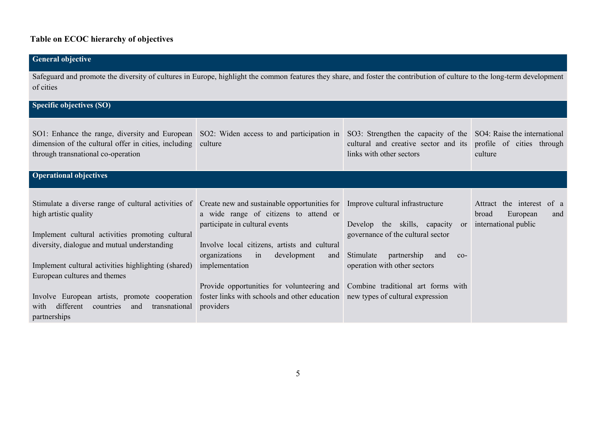# **Table on ECOC hierarchy of objectives**

| <b>General objective</b>                                                                                                                                                                                                                                                                                                                                                                           |                                                                                                                                                                                                                                                                                                                                                                                    |                                                                                                                                                                                                                                          |                                                                                     |
|----------------------------------------------------------------------------------------------------------------------------------------------------------------------------------------------------------------------------------------------------------------------------------------------------------------------------------------------------------------------------------------------------|------------------------------------------------------------------------------------------------------------------------------------------------------------------------------------------------------------------------------------------------------------------------------------------------------------------------------------------------------------------------------------|------------------------------------------------------------------------------------------------------------------------------------------------------------------------------------------------------------------------------------------|-------------------------------------------------------------------------------------|
| Safeguard and promote the diversity of cultures in Europe, highlight the common features they share, and foster the contribution of culture to the long-term development<br>of cities                                                                                                                                                                                                              |                                                                                                                                                                                                                                                                                                                                                                                    |                                                                                                                                                                                                                                          |                                                                                     |
| Specific objectives (SO)                                                                                                                                                                                                                                                                                                                                                                           |                                                                                                                                                                                                                                                                                                                                                                                    |                                                                                                                                                                                                                                          |                                                                                     |
| SO1: Enhance the range, diversity and European<br>dimension of the cultural offer in cities, including<br>through transnational co-operation                                                                                                                                                                                                                                                       | SO2: Widen access to and participation in SO3: Strengthen the capacity of the<br>culture                                                                                                                                                                                                                                                                                           | cultural and creative sector and its<br>links with other sectors                                                                                                                                                                         | SO4: Raise the international<br>profile of cities through<br>culture                |
| <b>Operational objectives</b>                                                                                                                                                                                                                                                                                                                                                                      |                                                                                                                                                                                                                                                                                                                                                                                    |                                                                                                                                                                                                                                          |                                                                                     |
| Stimulate a diverse range of cultural activities of<br>high artistic quality<br>Implement cultural activities promoting cultural<br>diversity, dialogue and mutual understanding<br>Implement cultural activities highlighting (shared)<br>European cultures and themes<br>Involve European artists, promote cooperation<br>different<br>countries<br>transnational<br>with<br>and<br>partnerships | Create new and sustainable opportunities for Improve cultural infrastructure<br>a wide range of citizens to attend or<br>participate in cultural events<br>Involve local citizens, artists and cultural<br>organizations<br>development<br>in<br>and<br>implementation<br>Provide opportunities for volunteering and<br>foster links with schools and other education<br>providers | Develop the skills, capacity<br><sub>or</sub><br>governance of the cultural sector<br>Stimulate<br>partnership<br>and<br>$CO-$<br>operation with other sectors<br>Combine traditional art forms with<br>new types of cultural expression | the interest<br>of a<br>Attract<br>broad<br>European<br>and<br>international public |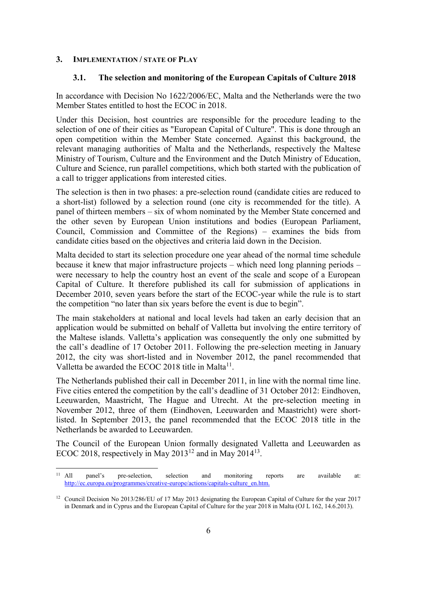### **3. IMPLEMENTATION / STATE OF PLAY**

 $\ddot{\phantom{a}}$ 

#### **3.1. The selection and monitoring of the European Capitals of Culture 2018**

In accordance with Decision No 1622/2006/EC, Malta and the Netherlands were the two Member States entitled to host the ECOC in 2018.

Under this Decision, host countries are responsible for the procedure leading to the selection of one of their cities as "European Capital of Culture". This is done through an open competition within the Member State concerned. Against this background, the relevant managing authorities of Malta and the Netherlands, respectively the Maltese Ministry of Tourism, Culture and the Environment and the Dutch Ministry of Education, Culture and Science, run parallel competitions, which both started with the publication of a call to trigger applications from interested cities.

The selection is then in two phases: a pre-selection round (candidate cities are reduced to a short-list) followed by a selection round (one city is recommended for the title). A panel of thirteen members – six of whom nominated by the Member State concerned and the other seven by European Union institutions and bodies (European Parliament, Council, Commission and Committee of the Regions) – examines the bids from candidate cities based on the objectives and criteria laid down in the Decision.

Malta decided to start its selection procedure one year ahead of the normal time schedule because it knew that major infrastructure projects – which need long planning periods – were necessary to help the country host an event of the scale and scope of a European Capital of Culture. It therefore published its call for submission of applications in December 2010, seven years before the start of the ECOC-year while the rule is to start the competition "no later than six years before the event is due to begin".

The main stakeholders at national and local levels had taken an early decision that an application would be submitted on behalf of Valletta but involving the entire territory of the Maltese islands. Valletta's application was consequently the only one submitted by the call's deadline of 17 October 2011. Following the pre-selection meeting in January 2012, the city was short-listed and in November 2012, the panel recommended that Valletta be awarded the ECOC 2018 title in Malta<sup>11</sup>.

The Netherlands published their call in December 2011, in line with the normal time line. Five cities entered the competition by the call's deadline of 31 October 2012: Eindhoven, Leeuwarden, Maastricht, The Hague and Utrecht. At the pre-selection meeting in November 2012, three of them (Eindhoven, Leeuwarden and Maastricht) were shortlisted. In September 2013, the panel recommended that the ECOC 2018 title in the Netherlands be awarded to Leeuwarden.

The Council of the European Union formally designated Valletta and Leeuwarden as ECOC 2018, respectively in May 2013<sup>12</sup> and in May 2014<sup>13</sup>.

<sup>11</sup> All panel's pre-selection, selection and monitoring reports are available at: http://ec.europa.eu/programmes/creative-europe/actions/capitals-culture\_en.htm.

<sup>&</sup>lt;sup>12</sup> Council Decision No 2013/286/EU of 17 May 2013 designating the European Capital of Culture for the year 2017 in Denmark and in Cyprus and the European Capital of Culture for the year 2018 in Malta (OJ L 162, 14.6.2013).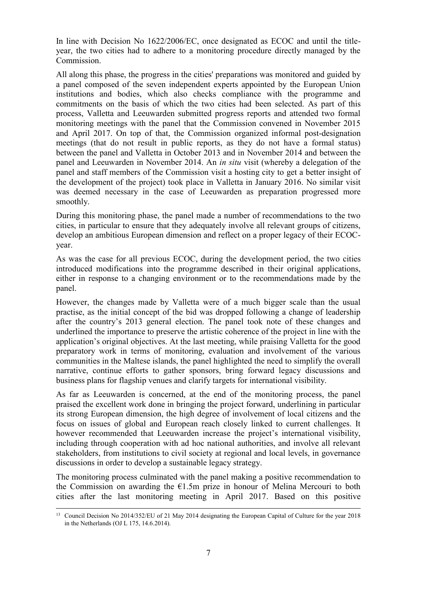In line with Decision No 1622/2006/EC, once designated as ECOC and until the titleyear, the two cities had to adhere to a monitoring procedure directly managed by the **Commission** 

All along this phase, the progress in the cities' preparations was monitored and guided by a panel composed of the seven independent experts appointed by the European Union institutions and bodies, which also checks compliance with the programme and commitments on the basis of which the two cities had been selected. As part of this process, Valletta and Leeuwarden submitted progress reports and attended two formal monitoring meetings with the panel that the Commission convened in November 2015 and April 2017. On top of that, the Commission organized informal post-designation meetings (that do not result in public reports, as they do not have a formal status) between the panel and Valletta in October 2013 and in November 2014 and between the panel and Leeuwarden in November 2014. An *in situ* visit (whereby a delegation of the panel and staff members of the Commission visit a hosting city to get a better insight of the development of the project) took place in Valletta in January 2016. No similar visit was deemed necessary in the case of Leeuwarden as preparation progressed more smoothly.

During this monitoring phase, the panel made a number of recommendations to the two cities, in particular to ensure that they adequately involve all relevant groups of citizens, develop an ambitious European dimension and reflect on a proper legacy of their ECOCyear.

As was the case for all previous ECOC, during the development period, the two cities introduced modifications into the programme described in their original applications, either in response to a changing environment or to the recommendations made by the panel.

However, the changes made by Valletta were of a much bigger scale than the usual practise, as the initial concept of the bid was dropped following a change of leadership after the country's 2013 general election. The panel took note of these changes and underlined the importance to preserve the artistic coherence of the project in line with the application's original objectives. At the last meeting, while praising Valletta for the good preparatory work in terms of monitoring, evaluation and involvement of the various communities in the Maltese islands, the panel highlighted the need to simplify the overall narrative, continue efforts to gather sponsors, bring forward legacy discussions and business plans for flagship venues and clarify targets for international visibility.

As far as Leeuwarden is concerned, at the end of the monitoring process, the panel praised the excellent work done in bringing the project forward, underlining in particular its strong European dimension, the high degree of involvement of local citizens and the focus on issues of global and European reach closely linked to current challenges. It however recommended that Leeuwarden increase the project's international visibility, including through cooperation with ad hoc national authorities, and involve all relevant stakeholders, from institutions to civil society at regional and local levels, in governance discussions in order to develop a sustainable legacy strategy.

The monitoring process culminated with the panel making a positive recommendation to the Commission on awarding the  $E1.5m$  prize in honour of Melina Mercouri to both cities after the last monitoring meeting in April 2017. Based on this positive

 $\overline{a}$ 

<sup>&</sup>lt;sup>13</sup> Council Decision No 2014/352/EU of 21 May 2014 designating the European Capital of Culture for the year 2018 in the Netherlands (OJ L 175, 14.6.2014).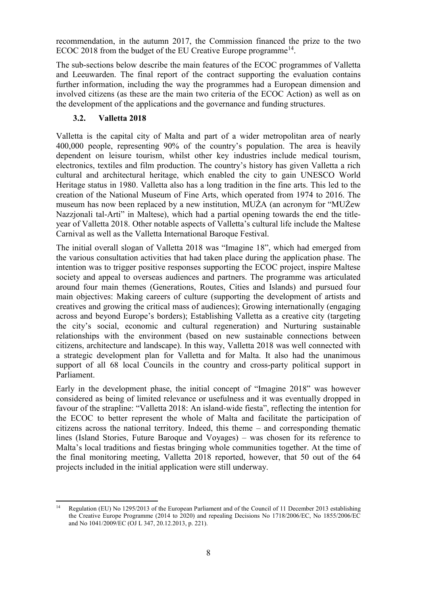recommendation, in the autumn 2017, the Commission financed the prize to the two ECOC 2018 from the budget of the EU Creative Europe programme<sup>14</sup>.

The sub-sections below describe the main features of the ECOC programmes of Valletta and Leeuwarden. The final report of the contract supporting the evaluation contains further information, including the way the programmes had a European dimension and involved citizens (as these are the main two criteria of the ECOC Action) as well as on the development of the applications and the governance and funding structures.

# **3.2. Valletta 2018**

Valletta is the capital city of Malta and part of a wider metropolitan area of nearly 400,000 people, representing 90% of the country's population. The area is heavily dependent on leisure tourism, whilst other key industries include medical tourism, electronics, textiles and film production. The country's history has given Valletta a rich cultural and architectural heritage, which enabled the city to gain UNESCO World Heritage status in 1980. Valletta also has a long tradition in the fine arts. This led to the creation of the National Museum of Fine Arts, which operated from 1974 to 2016. The museum has now been replaced by a new institution, MUŻA (an acronym for "MUŻew Nazzjonali tal-Arti" in Maltese), which had a partial opening towards the end the titleyear of Valletta 2018. Other notable aspects of Valletta's cultural life include the Maltese Carnival as well as the Valletta International Baroque Festival.

The initial overall slogan of Valletta 2018 was "Imagine 18", which had emerged from the various consultation activities that had taken place during the application phase. The intention was to trigger positive responses supporting the ECOC project, inspire Maltese society and appeal to overseas audiences and partners. The programme was articulated around four main themes (Generations, Routes, Cities and Islands) and pursued four main objectives: Making careers of culture (supporting the development of artists and creatives and growing the critical mass of audiences); Growing internationally (engaging across and beyond Europe's borders); Establishing Valletta as a creative city (targeting the city's social, economic and cultural regeneration) and Nurturing sustainable relationships with the environment (based on new sustainable connections between citizens, architecture and landscape). In this way, Valletta 2018 was well connected with a strategic development plan for Valletta and for Malta. It also had the unanimous support of all 68 local Councils in the country and cross-party political support in Parliament.

Early in the development phase, the initial concept of "Imagine 2018" was however considered as being of limited relevance or usefulness and it was eventually dropped in favour of the strapline: "Valletta 2018: An island-wide fiesta", reflecting the intention for the ECOC to better represent the whole of Malta and facilitate the participation of citizens across the national territory. Indeed, this theme – and corresponding thematic lines (Island Stories, Future Baroque and Voyages) – was chosen for its reference to Malta's local traditions and fiestas bringing whole communities together. At the time of the final monitoring meeting, Valletta 2018 reported, however, that 50 out of the 64 projects included in the initial application were still underway.

 $\overline{a}$ Regulation (EU) No 1295/2013 of the European Parliament and of the Council of 11 December 2013 establishing the Creative Europe Programme (2014 to 2020) and repealing Decisions No 1718/2006/EC, No 1855/2006/EC and No 1041/2009/EC (OJ L 347, 20.12.2013, p. 221).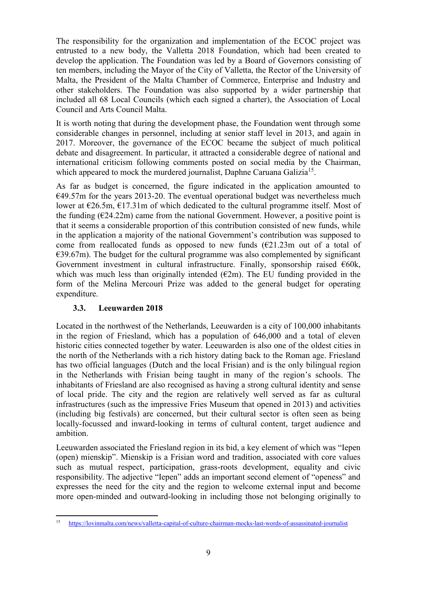The responsibility for the organization and implementation of the ECOC project was entrusted to a new body, the Valletta 2018 Foundation, which had been created to develop the application. The Foundation was led by a Board of Governors consisting of ten members, including the Mayor of the City of Valletta, the Rector of the University of Malta, the President of the Malta Chamber of Commerce, Enterprise and Industry and other stakeholders. The Foundation was also supported by a wider partnership that included all 68 Local Councils (which each signed a charter), the Association of Local Council and Arts Council Malta.

It is worth noting that during the development phase, the Foundation went through some considerable changes in personnel, including at senior staff level in 2013, and again in 2017. Moreover, the governance of the ECOC became the subject of much political debate and disagreement. In particular, it attracted a considerable degree of national and international criticism following comments posted on social media by the Chairman, which appeared to mock the murdered journalist, Daphne Caruana Galizia<sup>15</sup>.

As far as budget is concerned, the figure indicated in the application amounted to  $€49.57m$  for the years 2013-20. The eventual operational budget was nevertheless much lower at  $\epsilon$ 26.5m,  $\epsilon$ 17.31m of which dedicated to the cultural programme itself. Most of the funding  $(E24.22m)$  came from the national Government. However, a positive point is that it seems a considerable proportion of this contribution consisted of new funds, while in the application a majority of the national Government's contribution was supposed to come from reallocated funds as opposed to new funds  $(E21.23m)$  out of a total of  $E$  = 59.67m). The budget for the cultural programme was also complemented by significant Government investment in cultural infrastructure. Finally, sponsorship raised  $60k$ , which was much less than originally intended  $(\epsilon 2m)$ . The EU funding provided in the form of the Melina Mercouri Prize was added to the general budget for operating expenditure.

# **3.3. Leeuwarden 2018**

Located in the northwest of the Netherlands, Leeuwarden is a city of 100,000 inhabitants in the region of Friesland, which has a population of 646,000 and a total of eleven historic cities connected together by water. Leeuwarden is also one of the oldest cities in the north of the Netherlands with a rich history dating back to the Roman age. Friesland has two official languages (Dutch and the local Frisian) and is the only bilingual region in the Netherlands with Frisian being taught in many of the region's schools. The inhabitants of Friesland are also recognised as having a strong cultural identity and sense of local pride. The city and the region are relatively well served as far as cultural infrastructures (such as the impressive Fries Museum that opened in 2013) and activities (including big festivals) are concerned, but their cultural sector is often seen as being locally-focussed and inward-looking in terms of cultural content, target audience and ambition.

Leeuwarden associated the Friesland region in its bid, a key element of which was "Iepen (open) mienskip". Mienskip is a Frisian word and tradition, associated with core values such as mutual respect, participation, grass-roots development, equality and civic responsibility. The adjective "Iepen" adds an important second element of "openess" and expresses the need for the city and the region to welcome external input and become more open-minded and outward-looking in including those not belonging originally to

<sup>15</sup> <sup>15</sup> <https://lovinmalta.com/news/valletta-capital-of-culture-chairman-mocks-last-words-of-assassinated-journalist>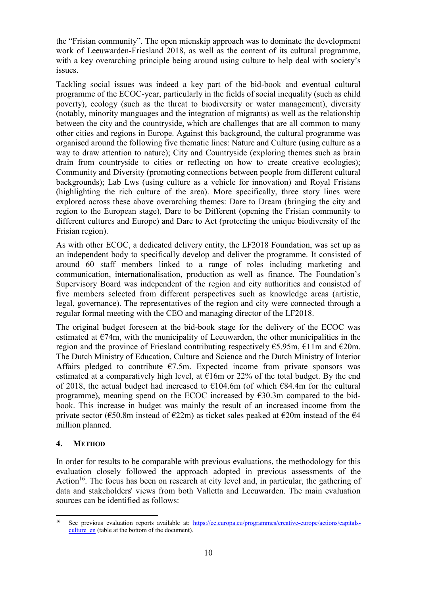the "Frisian community". The open mienskip approach was to dominate the development work of Leeuwarden-Friesland 2018, as well as the content of its cultural programme, with a key overarching principle being around using culture to help deal with society's issues.

Tackling social issues was indeed a key part of the bid-book and eventual cultural programme of the ECOC-year, particularly in the fields of social inequality (such as child poverty), ecology (such as the threat to biodiversity or water management), diversity (notably, minority manguages and the integration of migrants) as well as the relationship between the city and the countryside, which are challenges that are all common to many other cities and regions in Europe. Against this background, the cultural programme was organised around the following five thematic lines: Nature and Culture (using culture as a way to draw attention to nature); City and Countryside (exploring themes such as brain drain from countryside to cities or reflecting on how to create creative ecologies); Community and Diversity (promoting connections between people from different cultural backgrounds); Lab Lws (using culture as a vehicle for innovation) and Royal Frisians (highlighting the rich culture of the area). More specifically, three story lines were explored across these above overarching themes: Dare to Dream (bringing the city and region to the European stage), Dare to be Different (opening the Frisian community to different cultures and Europe) and Dare to Act (protecting the unique biodiversity of the Frisian region).

As with other ECOC, a dedicated delivery entity, the LF2018 Foundation, was set up as an independent body to specifically develop and deliver the programme. It consisted of around 60 staff members linked to a range of roles including marketing and communication, internationalisation, production as well as finance. The Foundation's Supervisory Board was independent of the region and city authorities and consisted of five members selected from different perspectives such as knowledge areas (artistic, legal, governance). The representatives of the region and city were connected through a regular formal meeting with the CEO and managing director of the LF2018.

The original budget foreseen at the bid-book stage for the delivery of the ECOC was estimated at  $\epsilon$ 74m, with the municipality of Leeuwarden, the other municipalities in the region and the province of Friesland contributing respectively €5.95m, €11m and €20m. The Dutch Ministry of Education, Culture and Science and the Dutch Ministry of Interior Affairs pledged to contribute  $\epsilon$ 7.5m. Expected income from private sponsors was estimated at a comparatively high level, at  $E16m$  or 22% of the total budget. By the end of 2018, the actual budget had increased to  $\epsilon$ 104.6m (of which  $\epsilon$ 84.4m for the cultural programme), meaning spend on the ECOC increased by  $\epsilon$ 30.3m compared to the bidbook. This increase in budget was mainly the result of an increased income from the private sector (€50.8m instead of €22m) as ticket sales peaked at  $\epsilon$ 20m instead of the  $\epsilon$ 4 million planned.

### **4. METHOD**

In order for results to be comparable with previous evaluations, the methodology for this evaluation closely followed the approach adopted in previous assessments of the Action<sup>16</sup>. The focus has been on research at city level and, in particular, the gathering of data and stakeholders' views from both Valletta and Leeuwarden. The main evaluation sources can be identified as follows:

<sup>16</sup> See previous evaluation reports available at: [https://ec.europa.eu/programmes/creative-europe/actions/capitals](https://ec.europa.eu/programmes/creative-europe/actions/capitals-culture_en)culture en (table at the bottom of the document).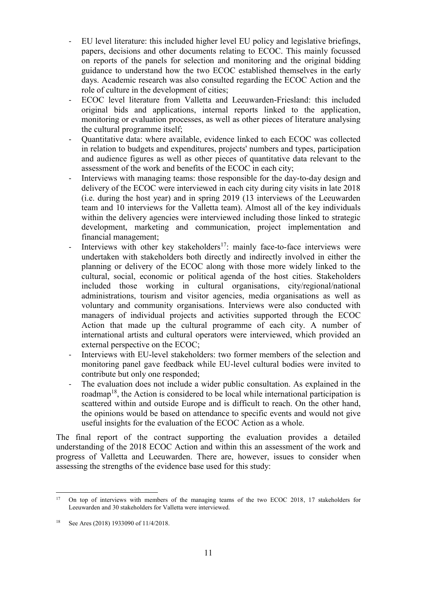- EU level literature: this included higher level EU policy and legislative briefings, papers, decisions and other documents relating to ECOC. This mainly focussed on reports of the panels for selection and monitoring and the original bidding guidance to understand how the two ECOC established themselves in the early days. Academic research was also consulted regarding the ECOC Action and the role of culture in the development of cities;
- ECOC level literature from Valletta and Leeuwarden-Friesland: this included original bids and applications, internal reports linked to the application, monitoring or evaluation processes, as well as other pieces of literature analysing the cultural programme itself;
- Quantitative data: where available, evidence linked to each ECOC was collected in relation to budgets and expenditures, projects' numbers and types, participation and audience figures as well as other pieces of quantitative data relevant to the assessment of the work and benefits of the ECOC in each city;
- Interviews with managing teams: those responsible for the day-to-day design and delivery of the ECOC were interviewed in each city during city visits in late 2018 (i.e. during the host year) and in spring 2019 (13 interviews of the Leeuwarden team and 10 interviews for the Valletta team). Almost all of the key individuals within the delivery agencies were interviewed including those linked to strategic development, marketing and communication, project implementation and financial management;
- Interviews with other key stakeholders<sup>17</sup>: mainly face-to-face interviews were undertaken with stakeholders both directly and indirectly involved in either the planning or delivery of the ECOC along with those more widely linked to the cultural, social, economic or political agenda of the host cities. Stakeholders included those working in cultural organisations, city/regional/national administrations, tourism and visitor agencies, media organisations as well as voluntary and community organisations. Interviews were also conducted with managers of individual projects and activities supported through the ECOC Action that made up the cultural programme of each city. A number of international artists and cultural operators were interviewed, which provided an external perspective on the ECOC;
- Interviews with EU-level stakeholders: two former members of the selection and monitoring panel gave feedback while EU-level cultural bodies were invited to contribute but only one responded;
- The evaluation does not include a wider public consultation. As explained in the roadmap<sup>18</sup>, the Action is considered to be local while international participation is scattered within and outside Europe and is difficult to reach. On the other hand, the opinions would be based on attendance to specific events and would not give useful insights for the evaluation of the ECOC Action as a whole.

The final report of the contract supporting the evaluation provides a detailed understanding of the 2018 ECOC Action and within this an assessment of the work and progress of Valletta and Leeuwarden. There are, however, issues to consider when assessing the strengths of the evidence base used for this study:

 $17$ <sup>17</sup> On top of interviews with members of the managing teams of the two ECOC 2018, 17 stakeholders for Leeuwarden and 30 stakeholders for Valletta were interviewed.

<sup>18</sup> See Ares (2018) 1933090 of 11/4/2018.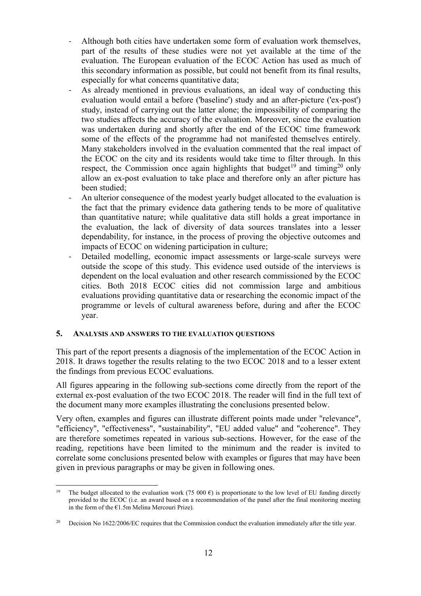- Although both cities have undertaken some form of evaluation work themselves, part of the results of these studies were not yet available at the time of the evaluation. The European evaluation of the ECOC Action has used as much of this secondary information as possible, but could not benefit from its final results, especially for what concerns quantitative data;
- As already mentioned in previous evaluations, an ideal way of conducting this evaluation would entail a before ('baseline') study and an after-picture ('ex-post') study, instead of carrying out the latter alone; the impossibility of comparing the two studies affects the accuracy of the evaluation. Moreover, since the evaluation was undertaken during and shortly after the end of the ECOC time framework some of the effects of the programme had not manifested themselves entirely. Many stakeholders involved in the evaluation commented that the real impact of the ECOC on the city and its residents would take time to filter through. In this respect, the Commission once again highlights that budget<sup>19</sup> and timing<sup>20</sup> only allow an ex-post evaluation to take place and therefore only an after picture has been studied;
- An ulterior consequence of the modest yearly budget allocated to the evaluation is the fact that the primary evidence data gathering tends to be more of qualitative than quantitative nature; while qualitative data still holds a great importance in the evaluation, the lack of diversity of data sources translates into a lesser dependability, for instance, in the process of proving the objective outcomes and impacts of ECOC on widening participation in culture;
- Detailed modelling, economic impact assessments or large-scale surveys were outside the scope of this study. This evidence used outside of the interviews is dependent on the local evaluation and other research commissioned by the ECOC cities. Both 2018 ECOC cities did not commission large and ambitious evaluations providing quantitative data or researching the economic impact of the programme or levels of cultural awareness before, during and after the ECOC year.

### **5. ANALYSIS AND ANSWERS TO THE EVALUATION QUESTIONS**

This part of the report presents a diagnosis of the implementation of the ECOC Action in 2018. It draws together the results relating to the two ECOC 2018 and to a lesser extent the findings from previous ECOC evaluations.

All figures appearing in the following sub-sections come directly from the report of the external ex-post evaluation of the two ECOC 2018. The reader will find in the full text of the document many more examples illustrating the conclusions presented below.

Very often, examples and figures can illustrate different points made under "relevance", "efficiency", "effectiveness", "sustainability", "EU added value" and "coherence". They are therefore sometimes repeated in various sub-sections. However, for the ease of the reading, repetitions have been limited to the minimum and the reader is invited to correlate some conclusions presented below with examples or figures that may have been given in previous paragraphs or may be given in following ones.

 $19$ The budget allocated to the evaluation work (75 000 €) is proportionate to the low level of EU funding directly provided to the ECOC (i.e. an award based on a recommendation of the panel after the final monitoring meeting in the form of the  $E1.5m$  Melina Mercouri Prize).

<sup>&</sup>lt;sup>20</sup> Decision No 1622/2006/EC requires that the Commission conduct the evaluation immediately after the title year.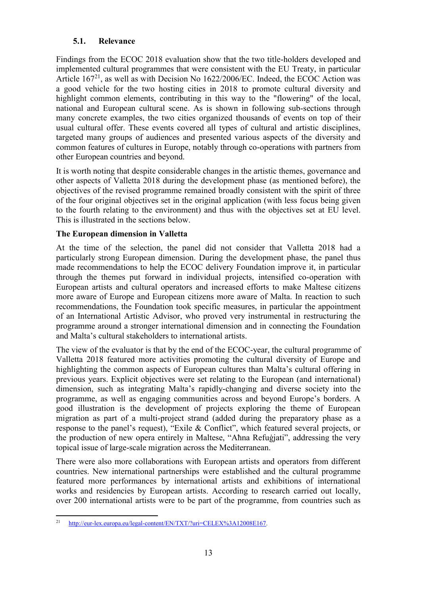# **5.1. Relevance**

Findings from the ECOC 2018 evaluation show that the two title-holders developed and implemented cultural programmes that were consistent with the EU Treaty, in particular Article  $167<sup>21</sup>$ , as well as with Decision No  $1622/2006$ /EC. Indeed, the ECOC Action was a good vehicle for the two hosting cities in 2018 to promote cultural diversity and highlight common elements, contributing in this way to the "flowering" of the local, national and European cultural scene. As is shown in following sub-sections through many concrete examples, the two cities organized thousands of events on top of their usual cultural offer. These events covered all types of cultural and artistic disciplines, targeted many groups of audiences and presented various aspects of the diversity and common features of cultures in Europe, notably through co-operations with partners from other European countries and beyond.

It is worth noting that despite considerable changes in the artistic themes, governance and other aspects of Valletta 2018 during the development phase (as mentioned before), the objectives of the revised programme remained broadly consistent with the spirit of three of the four original objectives set in the original application (with less focus being given to the fourth relating to the environment) and thus with the objectives set at EU level. This is illustrated in the sections below.

### **The European dimension in Valletta**

At the time of the selection, the panel did not consider that Valletta 2018 had a particularly strong European dimension. During the development phase, the panel thus made recommendations to help the ECOC delivery Foundation improve it, in particular through the themes put forward in individual projects, intensified co-operation with European artists and cultural operators and increased efforts to make Maltese citizens more aware of Europe and European citizens more aware of Malta. In reaction to such recommendations, the Foundation took specific measures, in particular the appointment of an International Artistic Advisor, who proved very instrumental in restructuring the programme around a stronger international dimension and in connecting the Foundation and Malta's cultural stakeholders to international artists.

The view of the evaluator is that by the end of the ECOC-year, the cultural programme of Valletta 2018 featured more activities promoting the cultural diversity of Europe and highlighting the common aspects of European cultures than Malta's cultural offering in previous years. Explicit objectives were set relating to the European (and international) dimension, such as integrating Malta's rapidly-changing and diverse society into the programme, as well as engaging communities across and beyond Europe's borders. A good illustration is the development of projects exploring the theme of European migration as part of a multi-project strand (added during the preparatory phase as a response to the panel's request), "Exile & Conflict", which featured several projects, or the production of new opera entirely in Maltese, "Aħna Refuġjati", addressing the very topical issue of large-scale migration across the Mediterranean.

There were also more collaborations with European artists and operators from different countries. New international partnerships were established and the cultural programme featured more performances by international artists and exhibitions of international works and residencies by European artists. According to research carried out locally, over 200 international artists were to be part of the programme, from countries such as

<sup>21</sup> <sup>21</sup> [http://eur-lex.europa.eu/legal-content/EN/TXT/?uri=CELEX%3A12008E167.](http://eur-lex.europa.eu/legal-content/EN/TXT/?uri=CELEX%3A12008E167)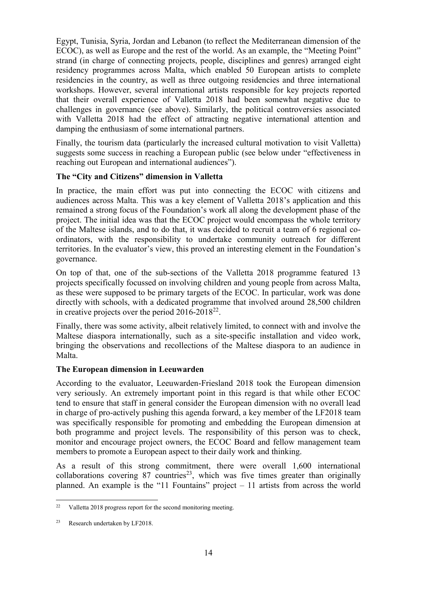Egypt, Tunisia, Syria, Jordan and Lebanon (to reflect the Mediterranean dimension of the ECOC), as well as Europe and the rest of the world. As an example, the "Meeting Point" strand (in charge of connecting projects, people, disciplines and genres) arranged eight residency programmes across Malta, which enabled 50 European artists to complete residencies in the country, as well as three outgoing residencies and three international workshops. However, several international artists responsible for key projects reported that their overall experience of Valletta 2018 had been somewhat negative due to challenges in governance (see above). Similarly, the political controversies associated with Valletta 2018 had the effect of attracting negative international attention and damping the enthusiasm of some international partners.

Finally, the tourism data (particularly the increased cultural motivation to visit Valletta) suggests some success in reaching a European public (see below under "effectiveness in reaching out European and international audiences").

### **The "City and Citizens" dimension in Valletta**

In practice, the main effort was put into connecting the ECOC with citizens and audiences across Malta. This was a key element of Valletta 2018's application and this remained a strong focus of the Foundation's work all along the development phase of the project. The initial idea was that the ECOC project would encompass the whole territory of the Maltese islands, and to do that, it was decided to recruit a team of 6 regional coordinators, with the responsibility to undertake community outreach for different territories. In the evaluator's view, this proved an interesting element in the Foundation's governance.

On top of that, one of the sub-sections of the Valletta 2018 programme featured 13 projects specifically focussed on involving children and young people from across Malta, as these were supposed to be primary targets of the ECOC. In particular, work was done directly with schools, with a dedicated programme that involved around 28,500 children in creative projects over the period  $2016-2018^{22}$ .

Finally, there was some activity, albeit relatively limited, to connect with and involve the Maltese diaspora internationally, such as a site-specific installation and video work, bringing the observations and recollections of the Maltese diaspora to an audience in Malta.

### **The European dimension in Leeuwarden**

According to the evaluator, Leeuwarden-Friesland 2018 took the European dimension very seriously. An extremely important point in this regard is that while other ECOC tend to ensure that staff in general consider the European dimension with no overall lead in charge of pro-actively pushing this agenda forward, a key member of the LF2018 team was specifically responsible for promoting and embedding the European dimension at both programme and project levels. The responsibility of this person was to check, monitor and encourage project owners, the ECOC Board and fellow management team members to promote a European aspect to their daily work and thinking.

As a result of this strong commitment, there were overall 1,600 international collaborations covering  $87$  countries<sup>23</sup>, which was five times greater than originally planned. An example is the "11 Fountains" project – 11 artists from across the world

<sup>22</sup> Valletta 2018 progress report for the second monitoring meeting.

<sup>23</sup> Research undertaken by LF2018.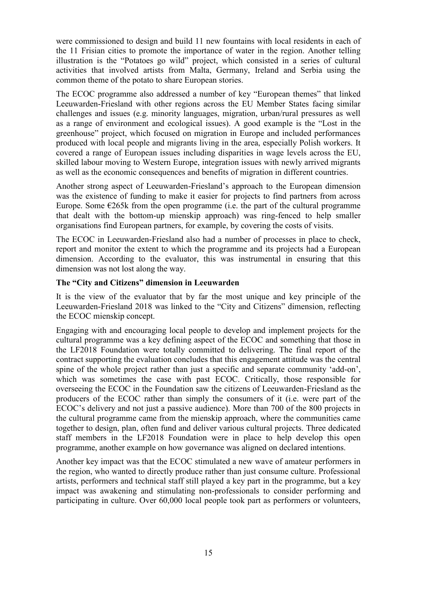were commissioned to design and build 11 new fountains with local residents in each of the 11 Frisian cities to promote the importance of water in the region. Another telling illustration is the "Potatoes go wild" project, which consisted in a series of cultural activities that involved artists from Malta, Germany, Ireland and Serbia using the common theme of the potato to share European stories.

The ECOC programme also addressed a number of key "European themes" that linked Leeuwarden-Friesland with other regions across the EU Member States facing similar challenges and issues (e.g. minority languages, migration, urban/rural pressures as well as a range of environment and ecological issues). A good example is the "Lost in the greenhouse" project, which focused on migration in Europe and included performances produced with local people and migrants living in the area, especially Polish workers. It covered a range of European issues including disparities in wage levels across the EU, skilled labour moving to Western Europe, integration issues with newly arrived migrants as well as the economic consequences and benefits of migration in different countries.

Another strong aspect of Leeuwarden-Friesland's approach to the European dimension was the existence of funding to make it easier for projects to find partners from across Europe. Some  $E265k$  from the open programme (i.e. the part of the cultural programme that dealt with the bottom-up mienskip approach) was ring-fenced to help smaller organisations find European partners, for example, by covering the costs of visits.

The ECOC in Leeuwarden-Friesland also had a number of processes in place to check, report and monitor the extent to which the programme and its projects had a European dimension. According to the evaluator, this was instrumental in ensuring that this dimension was not lost along the way.

### **The "City and Citizens" dimension in Leeuwarden**

It is the view of the evaluator that by far the most unique and key principle of the Leeuwarden-Friesland 2018 was linked to the "City and Citizens" dimension, reflecting the ECOC mienskip concept.

Engaging with and encouraging local people to develop and implement projects for the cultural programme was a key defining aspect of the ECOC and something that those in the LF2018 Foundation were totally committed to delivering. The final report of the contract supporting the evaluation concludes that this engagement attitude was the central spine of the whole project rather than just a specific and separate community 'add-on', which was sometimes the case with past ECOC. Critically, those responsible for overseeing the ECOC in the Foundation saw the citizens of Leeuwarden-Friesland as the producers of the ECOC rather than simply the consumers of it (i.e. were part of the ECOC's delivery and not just a passive audience). More than 700 of the 800 projects in the cultural programme came from the mienskip approach, where the communities came together to design, plan, often fund and deliver various cultural projects. Three dedicated staff members in the LF2018 Foundation were in place to help develop this open programme, another example on how governance was aligned on declared intentions.

Another key impact was that the ECOC stimulated a new wave of amateur performers in the region, who wanted to directly produce rather than just consume culture. Professional artists, performers and technical staff still played a key part in the programme, but a key impact was awakening and stimulating non-professionals to consider performing and participating in culture. Over 60,000 local people took part as performers or volunteers,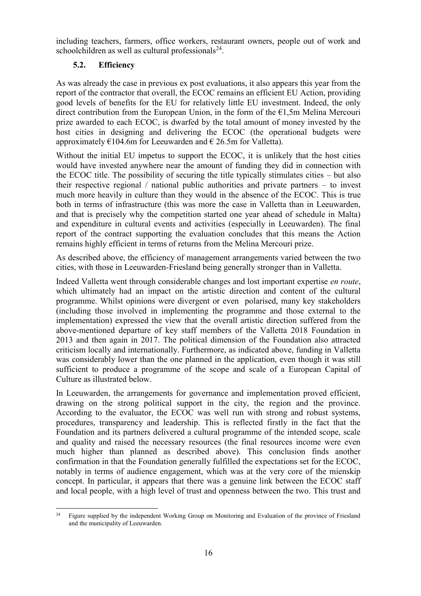including teachers, farmers, office workers, restaurant owners, people out of work and schoolchildren as well as cultural professionals $24$ .

# **5.2. Efficiency**

As was already the case in previous ex post evaluations, it also appears this year from the report of the contractor that overall, the ECOC remains an efficient EU Action, providing good levels of benefits for the EU for relatively little EU investment. Indeed, the only direct contribution from the European Union, in the form of the  $E1,5m$  Melina Mercouri prize awarded to each ECOC, is dwarfed by the total amount of money invested by the host cities in designing and delivering the ECOC (the operational budgets were approximately  $\epsilon$ 104.6m for Leeuwarden and  $\epsilon$  26.5m for Valletta).

Without the initial EU impetus to support the ECOC, it is unlikely that the host cities would have invested anywhere near the amount of funding they did in connection with the ECOC title. The possibility of securing the title typically stimulates cities – but also their respective regional / national public authorities and private partners – to invest much more heavily in culture than they would in the absence of the ECOC. This is true both in terms of infrastructure (this was more the case in Valletta than in Leeuwarden, and that is precisely why the competition started one year ahead of schedule in Malta) and expenditure in cultural events and activities (especially in Leeuwarden). The final report of the contract supporting the evaluation concludes that this means the Action remains highly efficient in terms of returns from the Melina Mercouri prize.

As described above, the efficiency of management arrangements varied between the two cities, with those in Leeuwarden-Friesland being generally stronger than in Valletta.

Indeed Valletta went through considerable changes and lost important expertise *en route*, which ultimately had an impact on the artistic direction and content of the cultural programme. Whilst opinions were divergent or even polarised, many key stakeholders (including those involved in implementing the programme and those external to the implementation) expressed the view that the overall artistic direction suffered from the above-mentioned departure of key staff members of the Valletta 2018 Foundation in 2013 and then again in 2017. The political dimension of the Foundation also attracted criticism locally and internationally. Furthermore, as indicated above, funding in Valletta was considerably lower than the one planned in the application, even though it was still sufficient to produce a programme of the scope and scale of a European Capital of Culture as illustrated below.

In Leeuwarden, the arrangements for governance and implementation proved efficient, drawing on the strong political support in the city, the region and the province. According to the evaluator, the ECOC was well run with strong and robust systems, procedures, transparency and leadership. This is reflected firstly in the fact that the Foundation and its partners delivered a cultural programme of the intended scope, scale and quality and raised the necessary resources (the final resources income were even much higher than planned as described above). This conclusion finds another confirmation in that the Foundation generally fulfilled the expectations set for the ECOC, notably in terms of audience engagement, which was at the very core of the mienskip concept. In particular, it appears that there was a genuine link between the ECOC staff and local people, with a high level of trust and openness between the two. This trust and

<sup>24</sup> <sup>24</sup> Figure supplied by the independent Working Group on Monitoring and Evaluation of the province of Friesland and the municipality of Leeuwarden.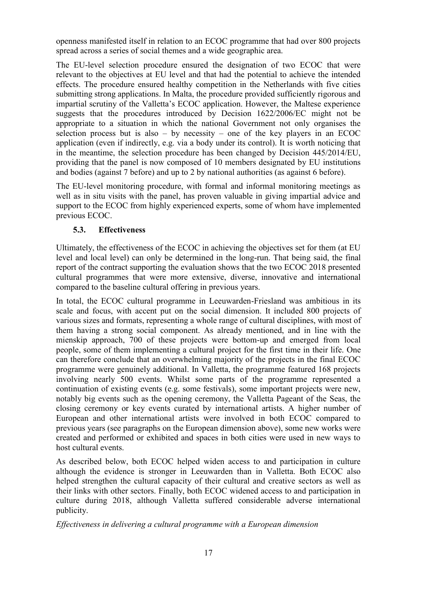openness manifested itself in relation to an ECOC programme that had over 800 projects spread across a series of social themes and a wide geographic area.

The EU-level selection procedure ensured the designation of two ECOC that were relevant to the objectives at EU level and that had the potential to achieve the intended effects. The procedure ensured healthy competition in the Netherlands with five cities submitting strong applications. In Malta, the procedure provided sufficiently rigorous and impartial scrutiny of the Valletta's ECOC application. However, the Maltese experience suggests that the procedures introduced by Decision 1622/2006/EC might not be appropriate to a situation in which the national Government not only organises the selection process but is also – by necessity – one of the key players in an ECOC application (even if indirectly, e.g. via a body under its control). It is worth noticing that in the meantime, the selection procedure has been changed by Decision 445/2014/EU, providing that the panel is now composed of 10 members designated by EU institutions and bodies (against 7 before) and up to 2 by national authorities (as against 6 before).

The EU-level monitoring procedure, with formal and informal monitoring meetings as well as in situ visits with the panel, has proven valuable in giving impartial advice and support to the ECOC from highly experienced experts, some of whom have implemented previous ECOC.

# **5.3. Effectiveness**

Ultimately, the effectiveness of the ECOC in achieving the objectives set for them (at EU level and local level) can only be determined in the long-run. That being said, the final report of the contract supporting the evaluation shows that the two ECOC 2018 presented cultural programmes that were more extensive, diverse, innovative and international compared to the baseline cultural offering in previous years.

In total, the ECOC cultural programme in Leeuwarden-Friesland was ambitious in its scale and focus, with accent put on the social dimension. It included 800 projects of various sizes and formats, representing a whole range of cultural disciplines, with most of them having a strong social component. As already mentioned, and in line with the mienskip approach, 700 of these projects were bottom-up and emerged from local people, some of them implementing a cultural project for the first time in their life. One can therefore conclude that an overwhelming majority of the projects in the final ECOC programme were genuinely additional. In Valletta, the programme featured 168 projects involving nearly 500 events. Whilst some parts of the programme represented a continuation of existing events (e.g. some festivals), some important projects were new, notably big events such as the opening ceremony, the Valletta Pageant of the Seas, the closing ceremony or key events curated by international artists. A higher number of European and other international artists were involved in both ECOC compared to previous years (see paragraphs on the European dimension above), some new works were created and performed or exhibited and spaces in both cities were used in new ways to host cultural events.

As described below, both ECOC helped widen access to and participation in culture although the evidence is stronger in Leeuwarden than in Valletta. Both ECOC also helped strengthen the cultural capacity of their cultural and creative sectors as well as their links with other sectors. Finally, both ECOC widened access to and participation in culture during 2018, although Valletta suffered considerable adverse international publicity.

*Effectiveness in delivering a cultural programme with a European dimension*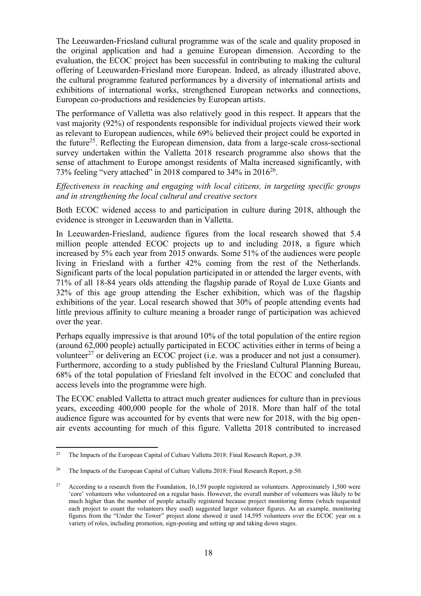The Leeuwarden-Friesland cultural programme was of the scale and quality proposed in the original application and had a genuine European dimension. According to the evaluation, the ECOC project has been successful in contributing to making the cultural offering of Leeuwarden-Friesland more European. Indeed, as already illustrated above, the cultural programme featured performances by a diversity of international artists and exhibitions of international works, strengthened European networks and connections, European co-productions and residencies by European artists.

The performance of Valletta was also relatively good in this respect. It appears that the vast majority (92%) of respondents responsible for individual projects viewed their work as relevant to European audiences, while 69% believed their project could be exported in the future<sup>25</sup>. Reflecting the European dimension, data from a large-scale cross-sectional survey undertaken within the Valletta 2018 research programme also shows that the sense of attachment to Europe amongst residents of Malta increased significantly, with 73% feeling "very attached" in 2018 compared to 34% in  $2016^{26}$ .

*Effectiveness in reaching and engaging with local citizens, in targeting specific groups and in strengthening the local cultural and creative sectors*

Both ECOC widened access to and participation in culture during 2018, although the evidence is stronger in Leeuwarden than in Valletta.

In Leeuwarden-Friesland, audience figures from the local research showed that 5.4 million people attended ECOC projects up to and including 2018, a figure which increased by 5% each year from 2015 onwards. Some 51% of the audiences were people living in Friesland with a further 42% coming from the rest of the Netherlands. Significant parts of the local population participated in or attended the larger events, with 71% of all 18-84 years olds attending the flagship parade of Royal de Luxe Giants and 32% of this age group attending the Escher exhibition, which was of the flagship exhibitions of the year. Local research showed that 30% of people attending events had little previous affinity to culture meaning a broader range of participation was achieved over the year.

Perhaps equally impressive is that around 10% of the total population of the entire region (around 62,000 people) actually participated in ECOC activities either in terms of being a volunteer<sup>27</sup> or delivering an ECOC project (i.e. was a producer and not just a consumer). Furthermore, according to a study published by the Friesland Cultural Planning Bureau, 68% of the total population of Friesland felt involved in the ECOC and concluded that access levels into the programme were high.

The ECOC enabled Valletta to attract much greater audiences for culture than in previous years, exceeding 400,000 people for the whole of 2018. More than half of the total audience figure was accounted for by events that were new for 2018, with the big openair events accounting for much of this figure. Valletta 2018 contributed to increased

<sup>25</sup> <sup>25</sup> The Impacts of the European Capital of Culture Valletta 2018: Final Research Report, p.39.

<sup>&</sup>lt;sup>26</sup> The Impacts of the European Capital of Culture Valletta 2018: Final Research Report, p.50.

<sup>&</sup>lt;sup>27</sup> According to a research from the Foundation, 16,159 people registered as volunteers. Approximately 1,500 were 'core' volunteers who volunteered on a regular basis. However, the overall number of volunteers was likely to be much higher than the number of people actually registered because project monitoring forms (which requested each project to count the volunteers they used) suggested larger volunteer figures. As an example, monitoring figures from the "Under the Tower" project alone showed it used 14,595 volunteers over the ECOC year on a variety of roles, including promotion, sign-posting and setting up and taking down stages.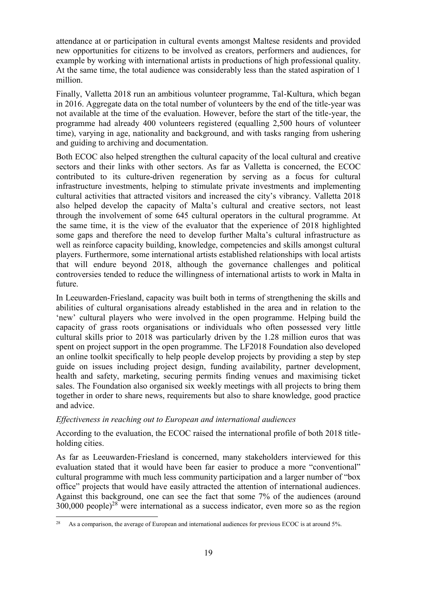attendance at or participation in cultural events amongst Maltese residents and provided new opportunities for citizens to be involved as creators, performers and audiences, for example by working with international artists in productions of high professional quality. At the same time, the total audience was considerably less than the stated aspiration of 1 million.

Finally, Valletta 2018 run an ambitious volunteer programme, Tal-Kultura, which began in 2016. Aggregate data on the total number of volunteers by the end of the title-year was not available at the time of the evaluation. However, before the start of the title-year, the programme had already 400 volunteers registered (equalling 2,500 hours of volunteer time), varying in age, nationality and background, and with tasks ranging from ushering and guiding to archiving and documentation.

Both ECOC also helped strengthen the cultural capacity of the local cultural and creative sectors and their links with other sectors. As far as Valletta is concerned, the ECOC contributed to its culture-driven regeneration by serving as a focus for cultural infrastructure investments, helping to stimulate private investments and implementing cultural activities that attracted visitors and increased the city's vibrancy. Valletta 2018 also helped develop the capacity of Malta's cultural and creative sectors, not least through the involvement of some 645 cultural operators in the cultural programme. At the same time, it is the view of the evaluator that the experience of 2018 highlighted some gaps and therefore the need to develop further Malta's cultural infrastructure as well as reinforce capacity building, knowledge, competencies and skills amongst cultural players. Furthermore, some international artists established relationships with local artists that will endure beyond 2018, although the governance challenges and political controversies tended to reduce the willingness of international artists to work in Malta in future.

In Leeuwarden-Friesland, capacity was built both in terms of strengthening the skills and abilities of cultural organisations already established in the area and in relation to the 'new' cultural players who were involved in the open programme. Helping build the capacity of grass roots organisations or individuals who often possessed very little cultural skills prior to 2018 was particularly driven by the 1.28 million euros that was spent on project support in the open programme. The LF2018 Foundation also developed an online toolkit specifically to help people develop projects by providing a step by step guide on issues including project design, funding availability, partner development, health and safety, marketing, securing permits finding venues and maximising ticket sales. The Foundation also organised six weekly meetings with all projects to bring them together in order to share news, requirements but also to share knowledge, good practice and advice.

### *Effectiveness in reaching out to European and international audiences*

According to the evaluation, the ECOC raised the international profile of both 2018 titleholding cities.

As far as Leeuwarden-Friesland is concerned, many stakeholders interviewed for this evaluation stated that it would have been far easier to produce a more "conventional" cultural programme with much less community participation and a larger number of "box office" projects that would have easily attracted the attention of international audiences. Against this background, one can see the fact that some 7% of the audiences (around  $300,000$  people)<sup>28</sup> were international as a success indicator, even more so as the region

 $28\,$ As a comparison, the average of European and international audiences for previous ECOC is at around 5%.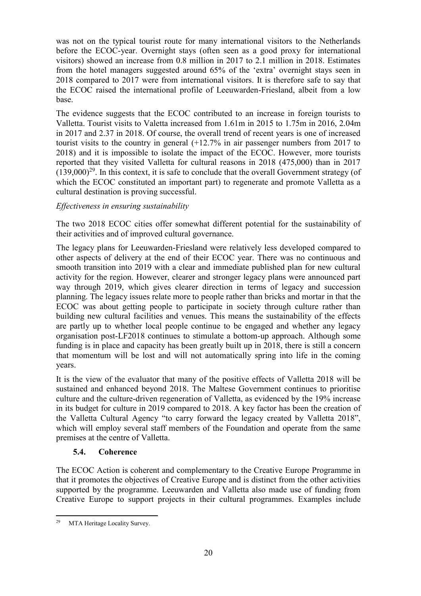was not on the typical tourist route for many international visitors to the Netherlands before the ECOC-year. Overnight stays (often seen as a good proxy for international visitors) showed an increase from 0.8 million in 2017 to 2.1 million in 2018. Estimates from the hotel managers suggested around 65% of the 'extra' overnight stays seen in 2018 compared to 2017 were from international visitors. It is therefore safe to say that the ECOC raised the international profile of Leeuwarden-Friesland, albeit from a low base.

The evidence suggests that the ECOC contributed to an increase in foreign tourists to Valletta. Tourist visits to Valetta increased from 1.61m in 2015 to 1.75m in 2016, 2.04m in 2017 and 2.37 in 2018. Of course, the overall trend of recent years is one of increased tourist visits to the country in general (+12.7% in air passenger numbers from 2017 to 2018) and it is impossible to isolate the impact of the ECOC. However, more tourists reported that they visited Valletta for cultural reasons in 2018 (475,000) than in 2017  $(139,000)^{29}$ . In this context, it is safe to conclude that the overall Government strategy (of which the ECOC constituted an important part) to regenerate and promote Valletta as a cultural destination is proving successful.

### *Effectiveness in ensuring sustainability*

The two 2018 ECOC cities offer somewhat different potential for the sustainability of their activities and of improved cultural governance.

The legacy plans for Leeuwarden-Friesland were relatively less developed compared to other aspects of delivery at the end of their ECOC year. There was no continuous and smooth transition into 2019 with a clear and immediate published plan for new cultural activity for the region. However, clearer and stronger legacy plans were announced part way through 2019, which gives clearer direction in terms of legacy and succession planning. The legacy issues relate more to people rather than bricks and mortar in that the ECOC was about getting people to participate in society through culture rather than building new cultural facilities and venues. This means the sustainability of the effects are partly up to whether local people continue to be engaged and whether any legacy organisation post-LF2018 continues to stimulate a bottom-up approach. Although some funding is in place and capacity has been greatly built up in 2018, there is still a concern that momentum will be lost and will not automatically spring into life in the coming years.

It is the view of the evaluator that many of the positive effects of Valletta 2018 will be sustained and enhanced beyond 2018. The Maltese Government continues to prioritise culture and the culture-driven regeneration of Valletta, as evidenced by the 19% increase in its budget for culture in 2019 compared to 2018. A key factor has been the creation of the Valletta Cultural Agency "to carry forward the legacy created by Valletta 2018", which will employ several staff members of the Foundation and operate from the same premises at the centre of Valletta.

### **5.4. Coherence**

The ECOC Action is coherent and complementary to the Creative Europe Programme in that it promotes the objectives of Creative Europe and is distinct from the other activities supported by the programme. Leeuwarden and Valletta also made use of funding from Creative Europe to support projects in their cultural programmes. Examples include

 $29$ MTA Heritage Locality Survey.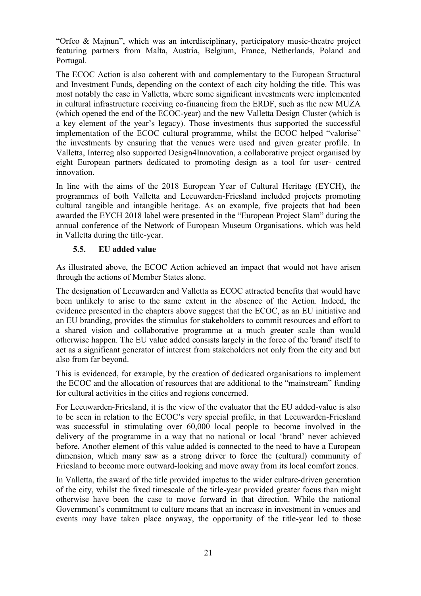"Orfeo & Majnun", which was an interdisciplinary, participatory music-theatre project featuring partners from Malta, Austria, Belgium, France, Netherlands, Poland and Portugal.

The ECOC Action is also coherent with and complementary to the European Structural and Investment Funds, depending on the context of each city holding the title. This was most notably the case in Valletta, where some significant investments were implemented in cultural infrastructure receiving co-financing from the ERDF, such as the new MUŻA (which opened the end of the ECOC-year) and the new Valletta Design Cluster (which is a key element of the year's legacy). Those investments thus supported the successful implementation of the ECOC cultural programme, whilst the ECOC helped "valorise" the investments by ensuring that the venues were used and given greater profile. In Valletta, Interreg also supported Design4Innovation, a collaborative project organised by eight European partners dedicated to promoting design as a tool for user- centred innovation.

In line with the aims of the 2018 European Year of Cultural Heritage (EYCH), the programmes of both Valletta and Leeuwarden-Friesland included projects promoting cultural tangible and intangible heritage. As an example, five projects that had been awarded the EYCH 2018 label were presented in the "European Project Slam" during the annual conference of the Network of European Museum Organisations, which was held in Valletta during the title-year.

### **5.5. EU added value**

As illustrated above, the ECOC Action achieved an impact that would not have arisen through the actions of Member States alone.

The designation of Leeuwarden and Valletta as ECOC attracted benefits that would have been unlikely to arise to the same extent in the absence of the Action. Indeed, the evidence presented in the chapters above suggest that the ECOC, as an EU initiative and an EU branding, provides the stimulus for stakeholders to commit resources and effort to a shared vision and collaborative programme at a much greater scale than would otherwise happen. The EU value added consists largely in the force of the 'brand' itself to act as a significant generator of interest from stakeholders not only from the city and but also from far beyond.

This is evidenced, for example, by the creation of dedicated organisations to implement the ECOC and the allocation of resources that are additional to the "mainstream" funding for cultural activities in the cities and regions concerned.

For Leeuwarden-Friesland, it is the view of the evaluator that the EU added-value is also to be seen in relation to the ECOC's very special profile, in that Leeuwarden-Friesland was successful in stimulating over 60,000 local people to become involved in the delivery of the programme in a way that no national or local 'brand' never achieved before. Another element of this value added is connected to the need to have a European dimension, which many saw as a strong driver to force the (cultural) community of Friesland to become more outward-looking and move away from its local comfort zones.

In Valletta, the award of the title provided impetus to the wider culture-driven generation of the city, whilst the fixed timescale of the title-year provided greater focus than might otherwise have been the case to move forward in that direction. While the national Government's commitment to culture means that an increase in investment in venues and events may have taken place anyway, the opportunity of the title-year led to those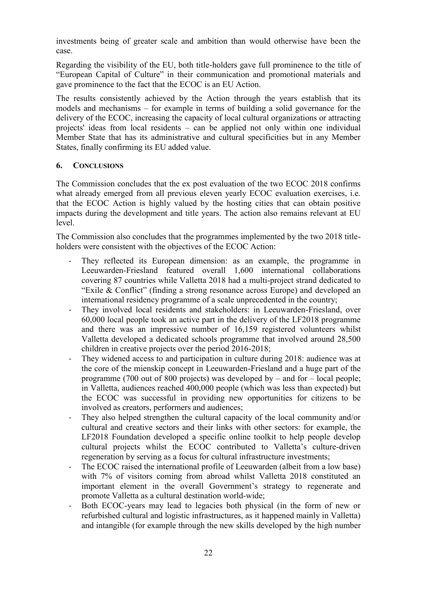investments being of greater scale and ambition than would otherwise have been the case.

Regarding the visibility of the EU, both title-holders gave full prominence to the title of "European Capital of Culture" in their communication and promotional materials and gave prominence to the fact that the ECOC is an EU Action.

The results consistently achieved by the Action through the years establish that its models and mechanisms – for example in terms of building a solid governance for the delivery of the ECOC, increasing the capacity of local cultural organizations or attracting projects' ideas from local residents – can be applied not only within one individual Member State that has its administrative and cultural specificities but in any Member States, finally confirming its EU added value.

### **6. CONCLUSIONS**

The Commission concludes that the ex post evaluation of the two ECOC 2018 confirms what already emerged from all previous eleven yearly ECOC evaluation exercises, i.e. that the ECOC Action is highly valued by the hosting cities that can obtain positive impacts during the development and title years. The action also remains relevant at EU level.

The Commission also concludes that the programmes implemented by the two 2018 titleholders were consistent with the objectives of the ECOC Action:

- They reflected its European dimension: as an example, the programme in Leeuwarden-Friesland featured overall 1,600 international collaborations covering 87 countries while Valletta 2018 had a multi-project strand dedicated to "Exile & Conflict" (finding a strong resonance across Europe) and developed an international residency programme of a scale unprecedented in the country;
- They involved local residents and stakeholders: in Leeuwarden-Friesland, over 60,000 local people took an active part in the delivery of the LF2018 programme and there was an impressive number of 16,159 registered volunteers whilst Valletta developed a dedicated schools programme that involved around 28,500 children in creative projects over the period 2016-2018;
- They widened access to and participation in culture during 2018: audience was at the core of the mienskip concept in Leeuwarden-Friesland and a huge part of the programme (700 out of 800 projects) was developed by – and for – local people; in Valletta, audiences reached 400,000 people (which was less than expected) but the ECOC was successful in providing new opportunities for citizens to be involved as creators, performers and audiences;
- They also helped strengthen the cultural capacity of the local community and/or cultural and creative sectors and their links with other sectors: for example, the LF2018 Foundation developed a specific online toolkit to help people develop cultural projects whilst the ECOC contributed to Valletta's culture-driven regeneration by serving as a focus for cultural infrastructure investments;
- The ECOC raised the international profile of Leeuwarden (albeit from a low base) with 7% of visitors coming from abroad whilst Valletta 2018 constituted an important element in the overall Government's strategy to regenerate and promote Valletta as a cultural destination world-wide;
- Both ECOC-years may lead to legacies both physical (in the form of new or refurbished cultural and logistic infrastructures, as it happened mainly in Valletta) and intangible (for example through the new skills developed by the high number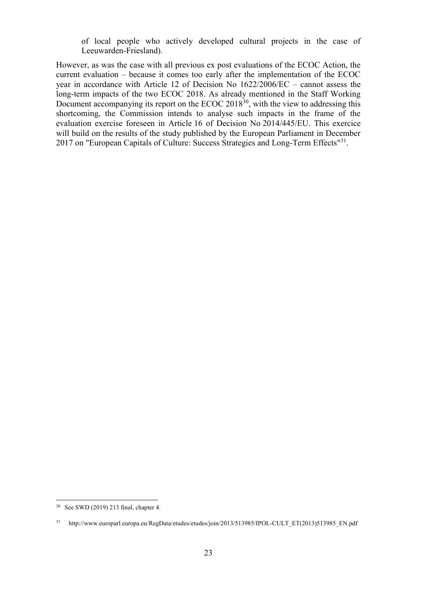of local people who actively developed cultural projects in the case of Leeuwarden-Friesland).

However, as was the case with all previous ex post evaluations of the ECOC Action, the current evaluation – because it comes too early after the implementation of the ECOC year in accordance with Article 12 of Decision No 1622/2006/EC – cannot assess the long-term impacts of the two ECOC 2018. As already mentioned in the Staff Working Document accompanying its report on the ECOC 2018<sup>30</sup>, with the view to addressing this shortcoming, the Commission intends to analyse such impacts in the frame of the evaluation exercise foreseen in Article 16 of Decision No 2014/445/EU. This exercice will build on the results of the study published by the European Parliament in December 2017 on "European Capitals of Culture: Success Strategies and Long-Term Effects"<sup>31</sup>.

 $\overline{a}$ 

<sup>30</sup> See SWD (2019) 213 final, chapter 4.

<sup>&</sup>lt;sup>31</sup> [http://www.europarl.europa.eu/RegData/etudes/etudes/join/2013/513985/IPOL-CULT\\_ET\(2013\)513985\\_EN.pdf](http://www.europarl.europa.eu/RegData/etudes/etudes/join/2013/513985/IPOL-CULT_ET(2013)513985_EN.pdf)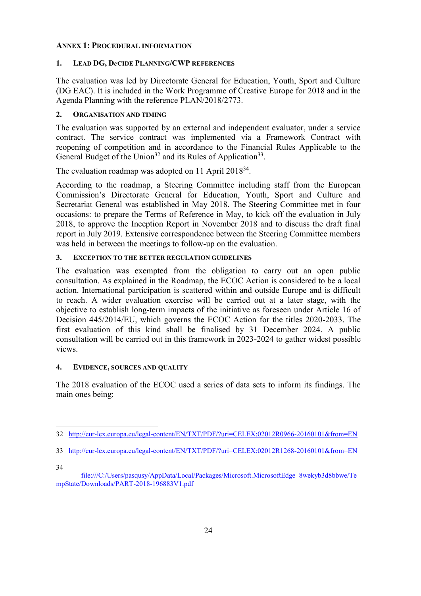#### **ANNEX 1: PROCEDURAL INFORMATION**

### **1. LEAD DG, D***e***CIDE PLANNING/CWP REFERENCES**

The evaluation was led by Directorate General for Education, Youth, Sport and Culture (DG EAC). It is included in the Work Programme of Creative Europe for 2018 and in the Agenda Planning with the reference PLAN/2018/2773.

#### **2. ORGANISATION AND TIMING**

The evaluation was supported by an external and independent evaluator, under a service contract. The service contract was implemented via a Framework Contract with reopening of competition and in accordance to the Financial Rules Applicable to the General Budget of the Union<sup>32</sup> and its Rules of Application<sup>33</sup>.

The evaluation roadmap was adopted on 11 April  $2018^{34}$ .

According to the roadmap, a Steering Committee including staff from the European Commission's Directorate General for Education, Youth, Sport and Culture and Secretariat General was established in May 2018. The Steering Committee met in four occasions: to prepare the Terms of Reference in May, to kick off the evaluation in July 2018, to approve the Inception Report in November 2018 and to discuss the draft final report in July 2019. Extensive correspondence between the Steering Committee members was held in between the meetings to follow-up on the evaluation.

#### **3. EXCEPTION TO THE BETTER REGULATION GUIDELINES**

The evaluation was exempted from the obligation to carry out an open public consultation. As explained in the Roadmap, the ECOC Action is considered to be a local action. International participation is scattered within and outside Europe and is difficult to reach. A wider evaluation exercise will be carried out at a later stage, with the objective to establish long-term impacts of the initiative as foreseen under Article 16 of Decision 445/2014/EU, which governs the ECOC Action for the titles 2020-2033. The first evaluation of this kind shall be finalised by 31 December 2024. A public consultation will be carried out in this framework in 2023-2024 to gather widest possible views.

### **4. EVIDENCE, SOURCES AND QUALITY**

The 2018 evaluation of the ECOC used a series of data sets to inform its findings. The main ones being:

34

 $\overline{a}$ 32 <http://eur-lex.europa.eu/legal-content/EN/TXT/PDF/?uri=CELEX:02012R0966-20160101&from=EN>

<sup>33</sup> <http://eur-lex.europa.eu/legal-content/EN/TXT/PDF/?uri=CELEX:02012R1268-20160101&from=EN>

[file:///C:/Users/pasqusy/AppData/Local/Packages/Microsoft.MicrosoftEdge\\_8wekyb3d8bbwe/Te](file:///C:/Users/pasqusy/AppData/Local/Packages/Microsoft.MicrosoftEdge_8wekyb3d8bbwe/TempState/Downloads/PART-2018-196883V1.pdf) [mpState/Downloads/PART-2018-196883V1.pdf](file:///C:/Users/pasqusy/AppData/Local/Packages/Microsoft.MicrosoftEdge_8wekyb3d8bbwe/TempState/Downloads/PART-2018-196883V1.pdf)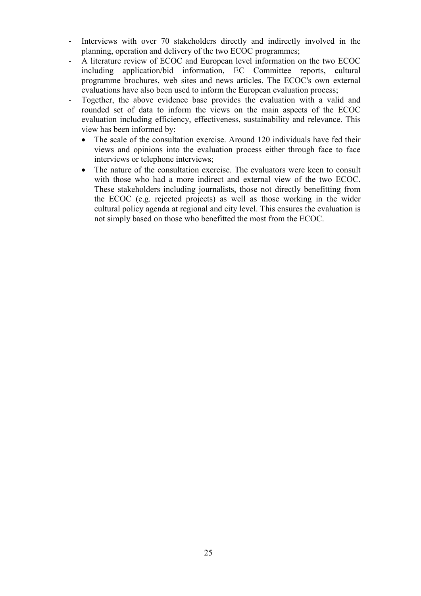- Interviews with over 70 stakeholders directly and indirectly involved in the planning, operation and delivery of the two ECOC programmes;
- A literature review of ECOC and European level information on the two ECOC including application/bid information, EC Committee reports, cultural programme brochures, web sites and news articles. The ECOC's own external evaluations have also been used to inform the European evaluation process;
- Together, the above evidence base provides the evaluation with a valid and rounded set of data to inform the views on the main aspects of the ECOC evaluation including efficiency, effectiveness, sustainability and relevance. This view has been informed by:
	- The scale of the consultation exercise. Around 120 individuals have fed their views and opinions into the evaluation process either through face to face interviews or telephone interviews;
	- The nature of the consultation exercise. The evaluators were keen to consult with those who had a more indirect and external view of the two ECOC. These stakeholders including journalists, those not directly benefitting from the ECOC (e.g. rejected projects) as well as those working in the wider cultural policy agenda at regional and city level. This ensures the evaluation is not simply based on those who benefitted the most from the ECOC.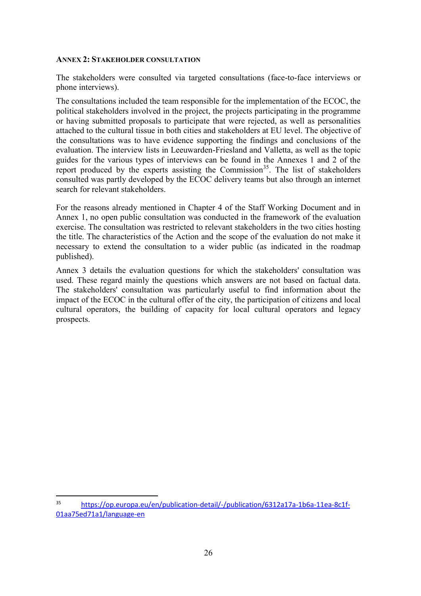#### **ANNEX 2: STAKEHOLDER CONSULTATION**

The stakeholders were consulted via targeted consultations (face-to-face interviews or phone interviews).

The consultations included the team responsible for the implementation of the ECOC, the political stakeholders involved in the project, the projects participating in the programme or having submitted proposals to participate that were rejected, as well as personalities attached to the cultural tissue in both cities and stakeholders at EU level. The objective of the consultations was to have evidence supporting the findings and conclusions of the evaluation. The interview lists in Leeuwarden-Friesland and Valletta, as well as the topic guides for the various types of interviews can be found in the Annexes 1 and 2 of the report produced by the experts assisting the Commission<sup>35</sup>. The list of stakeholders consulted was partly developed by the ECOC delivery teams but also through an internet search for relevant stakeholders.

For the reasons already mentioned in Chapter 4 of the Staff Working Document and in Annex 1, no open public consultation was conducted in the framework of the evaluation exercise. The consultation was restricted to relevant stakeholders in the two cities hosting the title. The characteristics of the Action and the scope of the evaluation do not make it necessary to extend the consultation to a wider public (as indicated in the roadmap published).

Annex 3 details the evaluation questions for which the stakeholders' consultation was used. These regard mainly the questions which answers are not based on factual data. The stakeholders' consultation was particularly useful to find information about the impact of the ECOC in the cultural offer of the city, the participation of citizens and local cultural operators, the building of capacity for local cultural operators and legacy prospects.

 $\overline{a}$ 

<sup>35</sup> [https://op.europa.eu/en/publication-detail/-/publication/6312a17a-1b6a-11ea-8c1f-](https://op.europa.eu/en/publication-detail/-/publication/6312a17a-1b6a-11ea-8c1f-01aa75ed71a1/language-en)[01aa75ed71a1/language-en](https://op.europa.eu/en/publication-detail/-/publication/6312a17a-1b6a-11ea-8c1f-01aa75ed71a1/language-en)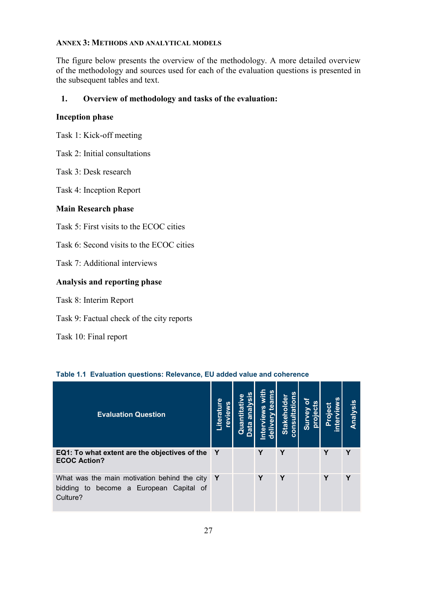### **ANNEX 3: METHODS AND ANALYTICAL MODELS**

The figure below presents the overview of the methodology. A more detailed overview of the methodology and sources used for each of the evaluation questions is presented in the subsequent tables and text.

### **1. Overview of methodology and tasks of the evaluation:**

### **Inception phase**

Task 1: Kick-off meeting

- Task 2: Initial consultations
- Task 3: Desk research

Task 4: Inception Report

### **Main Research phase**

Task 5: First visits to the ECOC cities

- Task 6: Second visits to the ECOC cities
- Task 7: Additional interviews

### **Analysis and reporting phase**

- Task 8: Interim Report
- Task 9: Factual check of the city reports
- Task 10: Final report

### **Table 1.1 Evaluation questions: Relevance, EU added value and coherence**

| <b>Evaluation Question</b>                                                                          | Literature<br>revie | σ | ഇ<br>ā | Stakeholder<br>E<br>œ<br>cons | ക<br><u>ing</u> |   | ysis<br>Analy |
|-----------------------------------------------------------------------------------------------------|---------------------|---|--------|-------------------------------|-----------------|---|---------------|
| EQ1: To what extent are the objectives of the<br><b>ECOC Action?</b>                                | Y                   |   | Υ      | Y                             |                 | Υ | Υ             |
| What was the main motivation behind the city<br>bidding to become a European Capital of<br>Culture? | <b>Y</b>            |   | Υ      | Y                             |                 | Υ |               |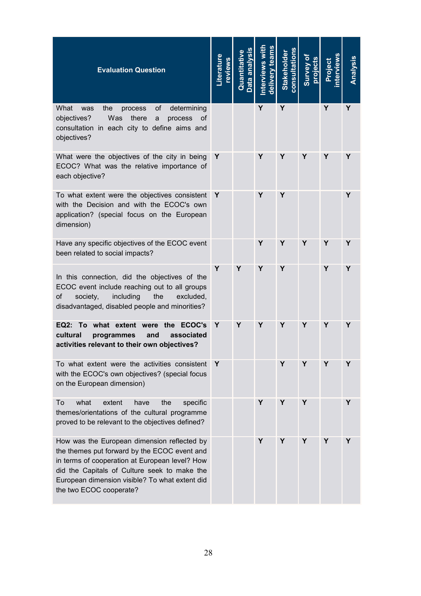| <b>Evaluation Question</b>                                                                                                                                                                                                                                                 | Literature<br>eviews |   | delivery team<br>nterviews | <b>Stakeholder</b><br>consultation |   | <b>roject</b> | Analysis |
|----------------------------------------------------------------------------------------------------------------------------------------------------------------------------------------------------------------------------------------------------------------------------|----------------------|---|----------------------------|------------------------------------|---|---------------|----------|
| What<br>the<br>οf<br>determining<br>was<br>process<br>Was<br>objectives?<br>there<br>process<br>a<br>0t<br>consultation in each city to define aims and<br>objectives?                                                                                                     |                      |   | Y                          | Y                                  |   | Y             | Y        |
| What were the objectives of the city in being<br>ECOC? What was the relative importance of<br>each objective?                                                                                                                                                              | Y                    |   | Υ                          | Υ                                  | Y | Y             | Y        |
| To what extent were the objectives consistent<br>with the Decision and with the ECOC's own<br>application? (special focus on the European<br>dimension)                                                                                                                    | Y                    |   | Υ                          | Υ                                  |   |               | Υ        |
| Have any specific objectives of the ECOC event<br>been related to social impacts?                                                                                                                                                                                          |                      |   | Y                          | Υ                                  | Y | Υ             | Y        |
| In this connection, did the objectives of the<br>ECOC event include reaching out to all groups<br>οf<br>society,<br>including<br>the<br>excluded.<br>disadvantaged, disabled people and minorities?                                                                        | Y                    | Y | Y                          | Y                                  |   | Y             | Υ        |
| EQ2: To what extent were<br>the ECOC's<br>cultural<br>associated<br>programmes<br>and<br>activities relevant to their own objectives?                                                                                                                                      | Y                    | Y | Y                          | Y                                  | Υ | Y             | Y        |
| To what extent were the activities consistent<br>with the ECOC's own objectives? (special focus<br>on the European dimension)                                                                                                                                              | Y                    |   |                            | Y                                  | Y | Y             | Y        |
| what<br>To<br>extent<br>have<br>the<br>specific<br>themes/orientations of the cultural programme<br>proved to be relevant to the objectives defined?                                                                                                                       |                      |   | Υ                          | Υ                                  | Y |               | Y        |
| How was the European dimension reflected by<br>the themes put forward by the ECOC event and<br>in terms of cooperation at European level? How<br>did the Capitals of Culture seek to make the<br>European dimension visible? To what extent did<br>the two ECOC cooperate? |                      |   | Y                          | Υ                                  | Y | Y             | Υ        |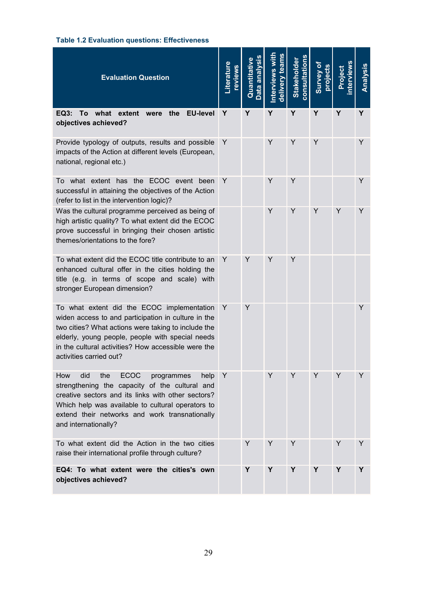# **Table 1.2 Evaluation questions: Effectiveness**

| <b>Evaluation Question</b>                                                                                                                                                                                                                                                                     | _iterature<br>reviews | Data analysis<br>Quantitative | tear<br>nterviews<br>$\overline{\mathbf{e}}$ | <b>consultation</b><br><b>Stakeholder</b> | Survey of<br>projects | ن<br>≜ | Analysis |
|------------------------------------------------------------------------------------------------------------------------------------------------------------------------------------------------------------------------------------------------------------------------------------------------|-----------------------|-------------------------------|----------------------------------------------|-------------------------------------------|-----------------------|--------|----------|
| To what extent were<br><b>EU-level</b><br>EQ3:<br>the<br>objectives achieved?                                                                                                                                                                                                                  | Y                     | Y                             | Y                                            | Y                                         | Y                     | Y      | Y        |
| Provide typology of outputs, results and possible<br>impacts of the Action at different levels (European,<br>national, regional etc.)                                                                                                                                                          | Y                     |                               | Y                                            | Y                                         | Y                     |        | Y        |
| To what extent has the ECOC event been<br>successful in attaining the objectives of the Action<br>(refer to list in the intervention logic)?                                                                                                                                                   | Y                     |                               | Y                                            | Y                                         |                       |        | Y        |
| Was the cultural programme perceived as being of<br>high artistic quality? To what extent did the ECOC<br>prove successful in bringing their chosen artistic<br>themes/orientations to the fore?                                                                                               |                       |                               | Y                                            | Y                                         | Y                     | Y      | Y        |
| To what extent did the ECOC title contribute to an<br>enhanced cultural offer in the cities holding the<br>title (e.g. in terms of scope and scale) with<br>stronger European dimension?                                                                                                       | Y                     | Y                             | Y                                            | Y                                         |                       |        |          |
| To what extent did the ECOC implementation<br>widen access to and participation in culture in the<br>two cities? What actions were taking to include the<br>elderly, young people, people with special needs<br>in the cultural activities? How accessible were the<br>activities carried out? | Y                     | Y                             |                                              |                                           |                       |        | Y        |
| <b>ECOC</b><br>How<br>did<br>the<br>programmes<br>help<br>strengthening the capacity of the cultural and<br>creative sectors and its links with other sectors?<br>Which help was available to cultural operators to<br>extend their networks and work transnationally<br>and internationally?  | Y                     |                               | Y                                            | Y                                         | Y                     | Y      | Y        |
| To what extent did the Action in the two cities<br>raise their international profile through culture?                                                                                                                                                                                          |                       | Y                             | Y                                            | Y                                         |                       | Y      | Y        |
| EQ4: To what extent were the cities's own<br>objectives achieved?                                                                                                                                                                                                                              |                       | Y                             | Y                                            | Y                                         | Y                     | Y      | Y        |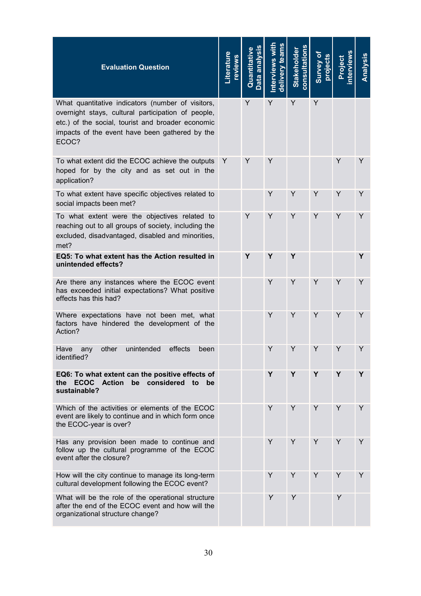| <b>Evaluation Question</b>                                                                                                                                                                                              | <b>Literature</b><br>reviews | Data analysis<br>Quantitative | š<br>team<br><b>nterviews</b> | consultations<br><b>Stakeholder</b> | Survey of<br>projects | oject | Analysis |
|-------------------------------------------------------------------------------------------------------------------------------------------------------------------------------------------------------------------------|------------------------------|-------------------------------|-------------------------------|-------------------------------------|-----------------------|-------|----------|
| What quantitative indicators (number of visitors,<br>overnight stays, cultural participation of people,<br>etc.) of the social, tourist and broader economic<br>impacts of the event have been gathered by the<br>ECOC? |                              | Y                             | Y                             | Y                                   | Y                     |       |          |
| To what extent did the ECOC achieve the outputs<br>hoped for by the city and as set out in the<br>application?                                                                                                          | Y                            | Y                             | Y                             |                                     |                       | Y     | Y        |
| To what extent have specific objectives related to<br>social impacts been met?                                                                                                                                          |                              |                               | Y                             | Y                                   | Y                     | Y     | Y        |
| To what extent were the objectives related to<br>reaching out to all groups of society, including the<br>excluded, disadvantaged, disabled and minorities,<br>met?                                                      |                              | Y                             | Y                             | Y                                   | Y                     | Y     | Y        |
| EQ5: To what extent has the Action resulted in<br>unintended effects?                                                                                                                                                   |                              | Y                             | Y                             | Y                                   |                       |       | Y        |
| Are there any instances where the ECOC event<br>has exceeded initial expectations? What positive<br>effects has this had?                                                                                               |                              |                               | Y                             | Y                                   | Y                     | Y     | Y        |
| Where expectations have not been met, what<br>factors have hindered the development of the<br>Action?                                                                                                                   |                              |                               | Y                             | Y                                   | Y                     | Y     | Y        |
| unintended<br>Have<br>other<br>effects<br>any<br>been<br>identified?                                                                                                                                                    |                              |                               | Y                             | Υ                                   | Υ                     | Y     | Y        |
| EQ6: To what extent can the positive effects of<br><b>ECOC</b><br><b>Action</b><br>be considered<br>the<br>to<br>be<br>sustainable?                                                                                     |                              |                               | Y                             | Y                                   | Y                     | Y     | Y        |
| Which of the activities or elements of the ECOC<br>event are likely to continue and in which form once<br>the ECOC-year is over?                                                                                        |                              |                               | Y                             | Y                                   | Y                     | Y     | Y        |
| Has any provision been made to continue and<br>follow up the cultural programme of the ECOC<br>event after the closure?                                                                                                 |                              |                               | Y                             | Υ                                   | Y                     | Y     | Y        |
| How will the city continue to manage its long-term<br>cultural development following the ECOC event?                                                                                                                    |                              |                               | Y                             | Y                                   | Y                     | Y     | Y        |
| What will be the role of the operational structure<br>after the end of the ECOC event and how will the<br>organizational structure change?                                                                              |                              |                               | Y                             | Y                                   |                       | Y     |          |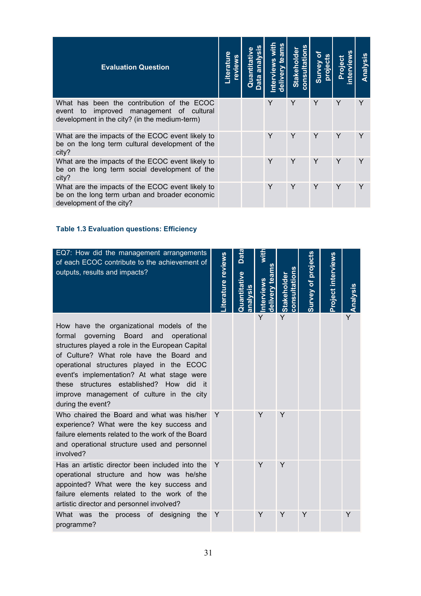| <b>Evaluation Question</b>                                                                                                                 | <b>Literatu</b><br>eview | Quantitativ<br>analy<br>bata | ii<br>3<br>nterviews<br>eliven | consultations<br>Stakeholde | đ<br>projects<br>Survey | Project | Analysis |
|--------------------------------------------------------------------------------------------------------------------------------------------|--------------------------|------------------------------|--------------------------------|-----------------------------|-------------------------|---------|----------|
| What has been the contribution of the ECOC<br>improved management of cultural<br>event to<br>development in the city? (in the medium-term) |                          |                              | Υ                              | Y                           | Y                       | Υ       | Y        |
| What are the impacts of the ECOC event likely to<br>be on the long term cultural development of the<br>city?                               |                          |                              | Y                              | Y                           | Y                       | Y       | Y        |
| What are the impacts of the ECOC event likely to<br>be on the long term social development of the<br>city?                                 |                          |                              | Y                              | Y                           | Υ                       | Υ       |          |
| What are the impacts of the ECOC event likely to<br>be on the long term urban and broader economic<br>development of the city?             |                          |                              | Y                              | Y                           | Y                       | Y       | Y        |

### **Table 1.3 Evaluation questions: Efficiency**

| EQ7: How did the management arrangements<br>of each ECOC contribute to the achievement of<br>outputs, results and impacts?                                                                                                                                                                                                                                                                         | iterature reviews | Data<br>uantitative<br><u>sis</u> | <u>lelivery team</u><br>nterviews | onsultations<br><b>Stakeholder</b> | urvey of projects | Project interviews | Analysis |
|----------------------------------------------------------------------------------------------------------------------------------------------------------------------------------------------------------------------------------------------------------------------------------------------------------------------------------------------------------------------------------------------------|-------------------|-----------------------------------|-----------------------------------|------------------------------------|-------------------|--------------------|----------|
| How have the organizational models of the<br>formal<br>governing Board and<br>operational<br>structures played a role in the European Capital<br>of Culture? What role have the Board and<br>operational structures played in the ECOC<br>event's implementation? At what stage were<br>these structures established? How did it<br>improve management of culture in the city<br>during the event? |                   |                                   | Y                                 | Y                                  |                   |                    | Ý        |
| Who chaired the Board and what was his/her<br>experience? What were the key success and<br>failure elements related to the work of the Board<br>and operational structure used and personnel<br>involved?                                                                                                                                                                                          | Y                 |                                   | Y                                 | Y                                  |                   |                    |          |
| Has an artistic director been included into the<br>operational structure and how was he/she<br>appointed? What were the key success and<br>failure elements related to the work of the<br>artistic director and personnel involved?                                                                                                                                                                | Y                 |                                   | Y                                 | Y                                  |                   |                    |          |
| What was the process of designing<br>the<br>programme?                                                                                                                                                                                                                                                                                                                                             | Y                 |                                   | Y                                 | Y                                  | Y                 |                    | Y        |

31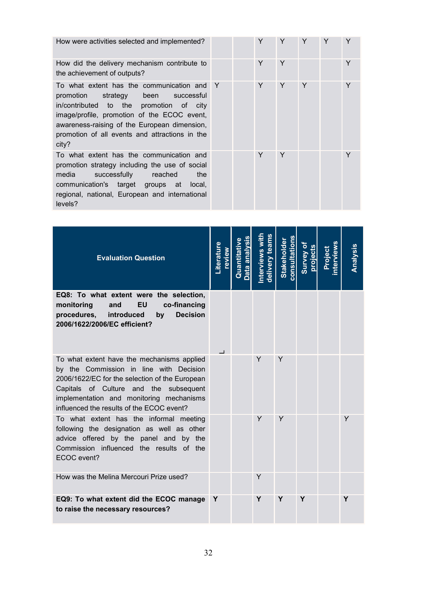How were activities selected and implemented?

How did the delivery mechanism contribute to the achievement of outputs?

To what extent has the communication and promotion strategy been successful in/contributed to the promotion of city image/profile, promotion of the ECOC event, awareness-raising of the European dimension, promotion of all events and attractions in the city?

To what extent has the communication and promotion strategy including the use of social media successfully reached the communication's target groups at local, regional, national, European and international levels?

|   | $\mathsf Y$ | Y       | Y | Y | $\mathsf Y$ |
|---|-------------|---------|---|---|-------------|
|   | Y           | $\sf Y$ |   |   | Y           |
| Y | Y           | Y       | Y |   | Y           |
|   | $\mathsf Y$ | $\sf Y$ |   |   | Y           |

| <b>Evaluation Question</b>                                                                                                                                                                                                                                                 | iterature<br>weive | Quantitative<br>an | delivery teams<br><b>nterviews w</b> | <b>Stakeholder</b><br>onsultation | Survey of<br>orojects | oject | Analysis |
|----------------------------------------------------------------------------------------------------------------------------------------------------------------------------------------------------------------------------------------------------------------------------|--------------------|--------------------|--------------------------------------|-----------------------------------|-----------------------|-------|----------|
| EQ8: To what extent were the selection,<br><b>EU</b><br>co-financing<br>monitoring<br>and<br>introduced<br><b>Decision</b><br>procedures,<br>by<br>2006/1622/2006/EC efficient?                                                                                            |                    |                    |                                      |                                   |                       |       |          |
| To what extent have the mechanisms applied<br>by the Commission in line with Decision<br>2006/1622/EC for the selection of the European<br>Capitals of Culture and the subsequent<br>implementation and monitoring mechanisms<br>influenced the results of the ECOC event? |                    |                    | Y                                    | Y                                 |                       |       |          |
| To what extent has the informal meeting<br>following the designation as well as other<br>advice offered by the panel and by the<br>Commission influenced the results<br>of the<br>ECOC event?                                                                              |                    |                    | Y                                    | Y                                 |                       |       | Y        |
| How was the Melina Mercouri Prize used?                                                                                                                                                                                                                                    |                    |                    | Y                                    |                                   |                       |       |          |
| EQ9: To what extent did the ECOC manage<br>to raise the necessary resources?                                                                                                                                                                                               | Y                  |                    | Υ                                    | Y                                 | Y                     |       | Υ        |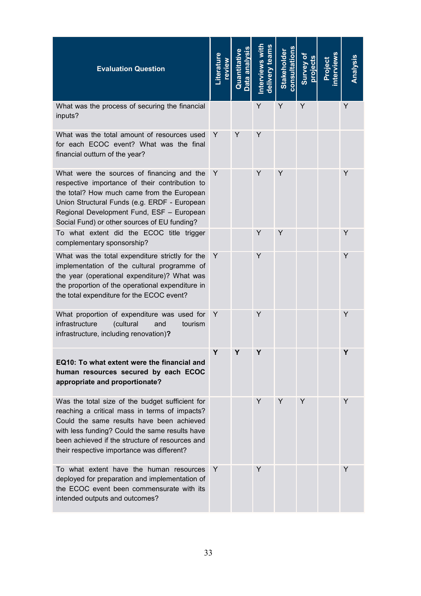| <b>Evaluation Question</b>                                                                                                                                                                                                                                                                       | <b>iterature</b><br>weive | Quantitative | d <u>elivery</u> teams<br>nterviews | <b>Stakeholder</b><br>consultation | Survey of<br>project | swəlvlə:<br>ioeio. | <u>Analysis</u> |
|--------------------------------------------------------------------------------------------------------------------------------------------------------------------------------------------------------------------------------------------------------------------------------------------------|---------------------------|--------------|-------------------------------------|------------------------------------|----------------------|--------------------|-----------------|
| What was the process of securing the financial<br>inputs?                                                                                                                                                                                                                                        |                           |              | Υ                                   | Y                                  | Υ                    |                    | Y               |
| What was the total amount of resources used<br>for each ECOC event? What was the final<br>financial outturn of the year?                                                                                                                                                                         | Y                         | Υ            | Y                                   |                                    |                      |                    |                 |
| What were the sources of financing and the<br>respective importance of their contribution to<br>the total? How much came from the European<br>Union Structural Funds (e.g. ERDF - European<br>Regional Development Fund, ESF - European<br>Social Fund) or other sources of EU funding?          | Y                         |              | Y                                   | Y                                  |                      |                    | Y               |
| To what extent did the ECOC title trigger<br>complementary sponsorship?                                                                                                                                                                                                                          |                           |              | Y                                   | Y                                  |                      |                    | Y               |
| What was the total expenditure strictly for the<br>implementation of the cultural programme of<br>the year (operational expenditure)? What was<br>the proportion of the operational expenditure in<br>the total expenditure for the ECOC event?                                                  | Y                         |              | Y                                   |                                    |                      |                    | Y               |
| What proportion of expenditure was used for<br>infrastructure<br>(cultural<br>and<br>tourism<br>infrastructure, including renovation)?                                                                                                                                                           | Y                         |              | Y                                   |                                    |                      |                    | Y               |
| EQ10: To what extent were the financial and<br>human resources secured by each ECOC<br>appropriate and proportionate?                                                                                                                                                                            | Υ                         | Υ            | Y                                   |                                    |                      |                    | Y               |
| Was the total size of the budget sufficient for<br>reaching a critical mass in terms of impacts?<br>Could the same results have been achieved<br>with less funding? Could the same results have<br>been achieved if the structure of resources and<br>their respective importance was different? |                           |              | Y                                   | Y                                  | Y                    |                    | Y               |
| To what extent have the human resources<br>deployed for preparation and implementation of<br>the ECOC event been commensurate with its<br>intended outputs and outcomes?                                                                                                                         | Y                         |              | Y                                   |                                    |                      |                    | Y               |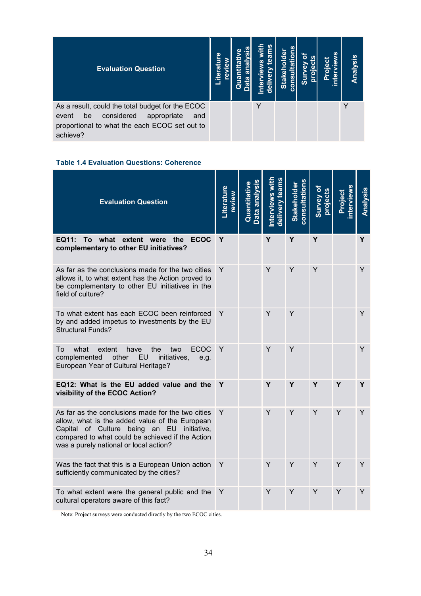| <b>Evaluation Question</b>                                                                                                                                       | Φ<br>Σ<br>Liter | ω<br>ายา | <u>su</u><br>Ë<br>" | ត<br><b>Stal</b><br>cons | oro<br>ūδ | ه<br>ō | <u>Analysis</u> |
|------------------------------------------------------------------------------------------------------------------------------------------------------------------|-----------------|----------|---------------------|--------------------------|-----------|--------|-----------------|
| As a result, could the total budget for the ECOC<br>considered<br>appropriate<br>be<br>and<br>event<br>proportional to what the each ECOC set out to<br>achieve? |                 |          |                     |                          |           |        |                 |

### **Table 1.4 Evaluation Questions: Coherence**

| <b>Evaluation Question</b>                                                                                                                                                                                                                      | Literature<br>review | <u>Jantitativ</u> | Interviews with<br>delivery teams | consultations<br><b>Stakeholder</b> | b Vəv.ng<br>projects | oject | Analysis |
|-------------------------------------------------------------------------------------------------------------------------------------------------------------------------------------------------------------------------------------------------|----------------------|-------------------|-----------------------------------|-------------------------------------|----------------------|-------|----------|
| To what<br><b>ECOC</b><br>EQ11:<br>extent were<br>the<br>complementary to other EU initiatives?                                                                                                                                                 | Y                    |                   | Y                                 | Y                                   | Y                    |       | Y        |
| As far as the conclusions made for the two cities<br>allows it, to what extent has the Action proved to<br>be complementary to other EU initiatives in the<br>field of culture?                                                                 | Y                    |                   | Y                                 | Y                                   | Y                    |       | Y        |
| To what extent has each ECOC been reinforced<br>by and added impetus to investments by the EU<br><b>Structural Funds?</b>                                                                                                                       | Y                    |                   | Y                                 | Y                                   |                      |       | Y        |
| <b>ECOC</b><br>To<br>what<br>extent<br>have<br>the<br>two<br>other<br><b>EU</b><br>complemented<br>initiatives,<br>e.g.<br>European Year of Cultural Heritage?                                                                                  | Y                    |                   | Y                                 | Y                                   |                      |       | Y        |
| EQ12: What is the EU added value and the<br>visibility of the ECOC Action?                                                                                                                                                                      | Y                    |                   | Y                                 | Υ                                   | Y                    | Y     | Y        |
| As far as the conclusions made for the two cities<br>allow, what is the added value of the European<br>Capital of Culture being an EU initiative,<br>compared to what could be achieved if the Action<br>was a purely national or local action? | Y                    |                   | Y                                 | Y                                   | Y                    | Y     | Y        |
| Was the fact that this is a European Union action<br>sufficiently communicated by the cities?                                                                                                                                                   | Y                    |                   | Y                                 | Y                                   | Y                    | Y     | Y        |
| To what extent were the general public and the<br>cultural operators aware of this fact?                                                                                                                                                        | Y                    |                   | Y                                 | Y                                   | Y                    | Y     | Y        |

Note: Project surveys were conducted directly by the two ECOC cities.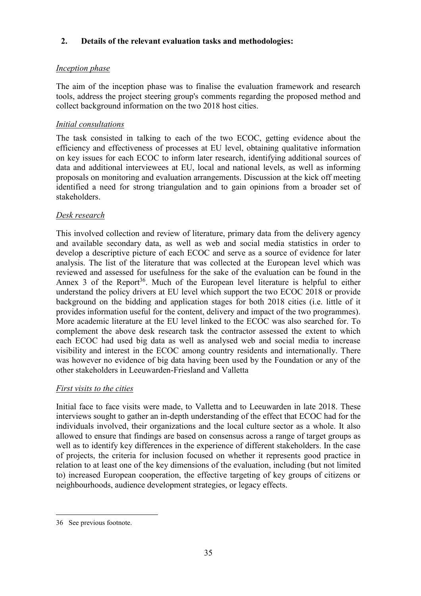# **2. Details of the relevant evaluation tasks and methodologies:**

# *Inception phase*

The aim of the inception phase was to finalise the evaluation framework and research tools, address the project steering group's comments regarding the proposed method and collect background information on the two 2018 host cities.

# *Initial consultations*

The task consisted in talking to each of the two ECOC, getting evidence about the efficiency and effectiveness of processes at EU level, obtaining qualitative information on key issues for each ECOC to inform later research, identifying additional sources of data and additional interviewees at EU, local and national levels, as well as informing proposals on monitoring and evaluation arrangements. Discussion at the kick off meeting identified a need for strong triangulation and to gain opinions from a broader set of stakeholders.

# *Desk research*

This involved collection and review of literature, primary data from the delivery agency and available secondary data, as well as web and social media statistics in order to develop a descriptive picture of each ECOC and serve as a source of evidence for later analysis. The list of the literature that was collected at the European level which was reviewed and assessed for usefulness for the sake of the evaluation can be found in the Annex 3 of the Report<sup>36</sup>. Much of the European level literature is helpful to either understand the policy drivers at EU level which support the two ECOC 2018 or provide background on the bidding and application stages for both 2018 cities (i.e. little of it provides information useful for the content, delivery and impact of the two programmes). More academic literature at the EU level linked to the ECOC was also searched for. To complement the above desk research task the contractor assessed the extent to which each ECOC had used big data as well as analysed web and social media to increase visibility and interest in the ECOC among country residents and internationally. There was however no evidence of big data having been used by the Foundation or any of the other stakeholders in Leeuwarden-Friesland and Valletta

### *First visits to the cities*

Initial face to face visits were made, to Valletta and to Leeuwarden in late 2018. These interviews sought to gather an in-depth understanding of the effect that ECOC had for the individuals involved, their organizations and the local culture sector as a whole. It also allowed to ensure that findings are based on consensus across a range of target groups as well as to identify key differences in the experience of different stakeholders. In the case of projects, the criteria for inclusion focused on whether it represents good practice in relation to at least one of the key dimensions of the evaluation, including (but not limited to) increased European cooperation, the effective targeting of key groups of citizens or neighbourhoods, audience development strategies, or legacy effects.

 $\overline{a}$ 

<sup>36</sup> See previous footnote.